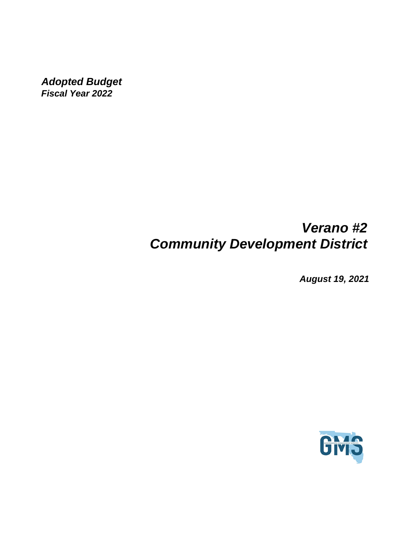*Adopted Budget Fiscal Year 2022*

## *Verano #2 Community Development District*

*August 19, 2021*

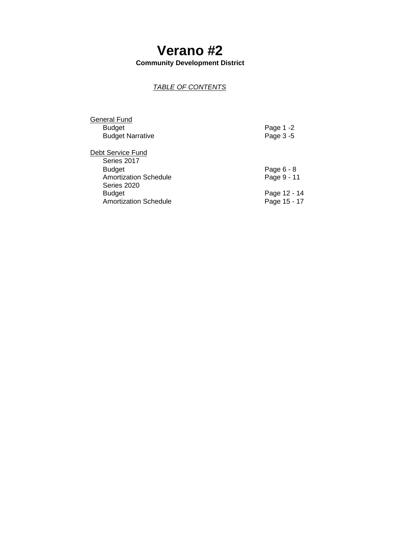# **Verano #2**

**Community Development District**

### *TABLE OF CONTENTS*

| General Fund                                |              |
|---------------------------------------------|--------------|
| <b>Budget</b>                               | Page 1 -2    |
| <b>Budget Narrative</b>                     | Page 3 -5    |
| Debt Service Fund                           |              |
| Series 2017                                 |              |
| <b>Budget</b>                               | Page 6 - 8   |
| <b>Amortization Schedule</b><br>Series 2020 | Page 9 - 11  |
| <b>Budget</b>                               | Page 12 - 14 |
| <b>Amortization Schedule</b>                | Page 15 - 17 |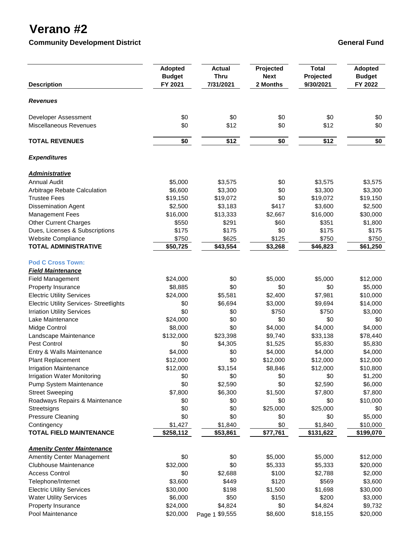## **Verano #2**

**Community Development District Community Development District Community Development District** 

| <b>Description</b>                             | <b>Adopted</b><br><b>Budget</b><br>FY 2021 | <b>Actual</b><br><b>Thru</b><br>7/31/2021 | Projected<br><b>Next</b><br>2 Months | <b>Total</b><br>Projected<br>9/30/2021 | <b>Adopted</b><br><b>Budget</b><br>FY 2022 |
|------------------------------------------------|--------------------------------------------|-------------------------------------------|--------------------------------------|----------------------------------------|--------------------------------------------|
|                                                |                                            |                                           |                                      |                                        |                                            |
| <b>Revenues</b>                                |                                            |                                           |                                      |                                        |                                            |
| Developer Assessment                           | \$0                                        | \$0                                       | \$0                                  | \$0                                    | \$0                                        |
| Miscellaneous Revenues                         | \$0                                        | \$12                                      | \$0                                  | \$12                                   | \$0                                        |
| <b>TOTAL REVENUES</b>                          | \$0                                        | \$12                                      | \$0                                  | \$12                                   | \$0                                        |
| <b>Expenditures</b>                            |                                            |                                           |                                      |                                        |                                            |
| <b>Administrative</b>                          |                                            |                                           |                                      |                                        |                                            |
| <b>Annual Audit</b>                            | \$5,000                                    | \$3,575                                   | \$0                                  | \$3,575                                | \$3,575                                    |
| Arbitrage Rebate Calculation                   | \$6,600                                    | \$3,300                                   | \$0                                  | \$3,300                                | \$3,300                                    |
| <b>Trustee Fees</b>                            | \$19,150                                   | \$19,072                                  | \$0                                  | \$19,072                               | \$19,150                                   |
| <b>Dissemination Agent</b>                     | \$2,500                                    | \$3,183                                   | \$417                                | \$3,600                                | \$2,500                                    |
| <b>Management Fees</b>                         | \$16,000                                   | \$13,333                                  | \$2,667                              | \$16,000                               | \$30,000                                   |
| <b>Other Current Charges</b>                   | \$550                                      | \$291                                     | \$60                                 | \$351                                  | \$1,800                                    |
| Dues, Licenses & Subscriptions                 | \$175                                      | \$175                                     | \$0                                  | \$175                                  | \$175                                      |
| Website Compliance                             | \$750                                      | \$625                                     | \$125                                | \$750                                  | \$750                                      |
| <b>TOTAL ADMINISTRATIVE</b>                    | \$50,725                                   | \$43,554                                  | \$3,268                              | \$46,823                               | \$61,250                                   |
| <b>Pod C Cross Town:</b>                       |                                            |                                           |                                      |                                        |                                            |
| <b>Field Maintenance</b>                       |                                            |                                           |                                      |                                        |                                            |
| <b>Field Management</b>                        | \$24,000                                   | \$0                                       | \$5,000                              | \$5,000                                | \$12,000                                   |
| Property Insurance                             | \$8,885                                    | \$0                                       | \$0                                  | \$0                                    | \$5,000                                    |
| <b>Electric Utility Services</b>               | \$24,000                                   | \$5,581                                   | \$2,400                              | \$7,981                                | \$10,000                                   |
| <b>Electric Utility Services- Streetlights</b> | \$0                                        | \$6,694                                   | \$3,000                              | \$9,694                                | \$14,000                                   |
| <b>Irriation Utility Services</b>              | \$0                                        | \$0                                       | \$750                                | \$750                                  | \$3,000                                    |
| Lake Maintenance                               | \$24,000                                   | \$0                                       | \$0                                  | \$0                                    | \$0                                        |
| Midge Control                                  | \$8,000                                    | \$0                                       | \$4,000                              | \$4,000                                | \$4,000                                    |
| Landscape Maintenance                          | \$132,000                                  | \$23,398                                  | \$9,740                              | \$33,138                               | \$78,440                                   |
| Pest Control                                   | \$0                                        | \$4,305                                   | \$1,525                              | \$5,830                                | \$5,830                                    |
| Entry & Walls Maintenance                      | \$4,000                                    | \$0                                       | \$4,000                              | \$4,000                                | \$4,000                                    |
| Plant Replacement                              | \$12,000                                   | \$0                                       | \$12,000                             | \$12,000                               | \$12,000                                   |
| <b>Irrigation Maintenance</b>                  | \$12,000                                   | \$3,154                                   | \$8,846                              | \$12,000                               | \$10,800                                   |
| <b>Irrigation Water Monitoring</b>             | \$0                                        | \$0                                       | \$0                                  | \$0                                    | \$1,200                                    |
| Pump System Maintenance                        | \$0                                        | \$2,590                                   | \$0                                  | \$2,590                                | \$6,000                                    |
| <b>Street Sweeping</b>                         | \$7,800                                    | \$6,300                                   | \$1,500                              | \$7,800                                | \$7,800                                    |
| Roadways Repairs & Maintenance                 | \$0                                        | \$0                                       | \$0                                  | \$0                                    | \$10,000                                   |
| Streetsigns                                    | \$0                                        | \$0                                       | \$25,000                             | \$25,000                               | \$0                                        |
| <b>Pressure Cleaning</b>                       | \$0                                        | \$0                                       | \$0                                  | \$0                                    | \$5,000                                    |
| Contingency                                    | \$1,427                                    | \$1,840                                   | \$0                                  | \$1,840                                | \$10,000                                   |
| <b>TOTAL FIELD MAINTENANCE</b>                 | \$258,112                                  | \$53,861                                  | \$77,761                             | \$131,622                              | \$199,070                                  |
| <b>Amenity Center Maintenance</b>              |                                            |                                           |                                      |                                        |                                            |
| <b>Amentity Center Management</b>              | \$0                                        | \$0                                       | \$5,000                              | \$5,000                                | \$12,000                                   |
| Clubhouse Maintenance                          | \$32,000                                   | \$0                                       | \$5,333                              | \$5,333                                | \$20,000                                   |
| <b>Access Control</b>                          | \$0                                        | \$2,688                                   | \$100                                | \$2,788                                | \$2,000                                    |
| Telephone/Internet                             | \$3,600                                    | \$449                                     | \$120                                | \$569                                  | \$3,600                                    |
| <b>Electric Utility Services</b>               | \$30,000                                   | \$198                                     | \$1,500                              | \$1,698                                | \$30,000                                   |
| <b>Water Utility Services</b>                  | \$6,000                                    | \$50                                      | \$150                                | \$200                                  | \$3,000                                    |
| Property Insurance                             | \$24,000                                   | \$4,824                                   | \$0                                  | \$4,824                                | \$9,732                                    |
| Pool Maintenance                               | \$20,000                                   | Page 1 \$9,555                            | \$8,600                              | \$18,155                               | \$20,000                                   |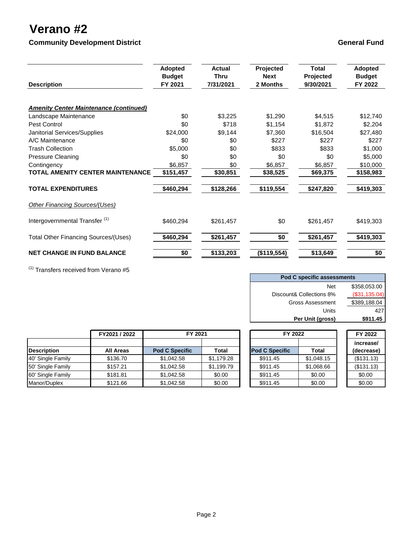## **Verano #2**

**Community Development District Community Development District Community Development District** 

| <b>Description</b>                            | <b>Adopted</b><br><b>Budget</b><br>FY 2021 | Actual<br><b>Thru</b><br>7/31/2021 | Projected<br><b>Next</b><br>2 Months | Total<br>Projected<br>9/30/2021 | <b>Adopted</b><br><b>Budget</b><br>FY 2022 |
|-----------------------------------------------|--------------------------------------------|------------------------------------|--------------------------------------|---------------------------------|--------------------------------------------|
| <b>Amenity Center Maintenance (continued)</b> |                                            |                                    |                                      |                                 |                                            |
| Landscape Maintenance                         | \$0                                        | \$3,225                            | \$1,290                              | \$4,515                         | \$12,740                                   |
| Pest Control                                  | \$0                                        | \$718                              | \$1,154                              | \$1,872                         | \$2,204                                    |
| Janitorial Services/Supplies                  | \$24,000                                   | \$9,144                            | \$7.360                              | \$16,504                        | \$27,480                                   |
| A/C Maintenance                               | \$0                                        | \$0                                | \$227                                | \$227                           | \$227                                      |
| <b>Trash Collection</b>                       | \$5,000                                    | \$0                                | \$833                                | \$833                           | \$1,000                                    |
| <b>Pressure Cleaning</b>                      | \$0                                        | \$0                                | \$0                                  | \$0                             | \$5,000                                    |
| Contingency                                   | \$6,857                                    | \$0                                | \$6,857                              | \$6,857                         | \$10,000                                   |
| <b>TOTAL AMENITY CENTER MAINTENANCE</b>       | \$151,457                                  | \$30,851                           | \$38,525                             | \$69,375                        | \$158,983                                  |
| <b>TOTAL EXPENDITURES</b>                     | \$460,294                                  | \$128,266                          | \$119,554                            | \$247,820                       | \$419,303                                  |
| Other Financing Sources/(Uses)                |                                            |                                    |                                      |                                 |                                            |
| Intergovernmental Transfer <sup>(1)</sup>     | \$460,294                                  | \$261,457                          | \$0                                  | \$261,457                       | \$419,303                                  |
| <b>Total Other Financing Sources/(Uses)</b>   | \$460,294                                  | \$261,457                          | \$0                                  | \$261,457                       | \$419,303                                  |
| <b>NET CHANGE IN FUND BALANCE</b>             | \$0                                        | \$133,203                          | (\$119,554)                          | \$13,649                        | \$0                                        |

 $(1)$  Transfers received from Verano #5

| Pod C specific assessments |               |  |  |  |
|----------------------------|---------------|--|--|--|
| <b>Net</b>                 | \$358,053.00  |  |  |  |
| Discount& Collections 8%   | (\$31,135.04) |  |  |  |
| <b>Gross Assessment</b>    | \$389,188.04  |  |  |  |
| Units                      | 427           |  |  |  |
| Per Unit (gross)           | \$911.45      |  |  |  |

|                    | FY2021 / 2022    | FY 2021               |            | FY 2022               |            | FY 2022    |
|--------------------|------------------|-----------------------|------------|-----------------------|------------|------------|
|                    |                  |                       |            |                       |            | increase/  |
| <b>Description</b> | <b>All Areas</b> | <b>Pod C Specific</b> | Total      | <b>Pod C Specific</b> | Total      | (decrease) |
| 40' Single Family  | \$136.70         | \$1,042.58            | \$1,179.28 | \$911.45              | \$1,048.15 | (\$131.13) |
| 50' Single Family  | \$157.21         | \$1,042.58            | \$1,199.79 | \$911.45              | \$1,068.66 | (\$131.13) |
| 60' Single Family  | \$181.81         | \$1,042.58            | \$0.00     | \$911.45              | \$0.00     | \$0.00     |
| Manor/Duplex       | \$121.66         | \$1,042.58            | \$0.00     | \$911.45              | \$0.00     | \$0.00     |

| FY 2022           |            |  | FY 2022                 |
|-------------------|------------|--|-------------------------|
| <b>C Specific</b> | Total      |  | increase/<br>(decrease) |
| 6911.45           | \$1,048.15 |  | (\$131.13)              |
| 6911.45           | \$1,068.66 |  | (\$131.13)              |
| 6911.45           | \$0.00     |  | \$0.00                  |
| 6911.45           | \$0.00     |  | \$0.00                  |
|                   |            |  |                         |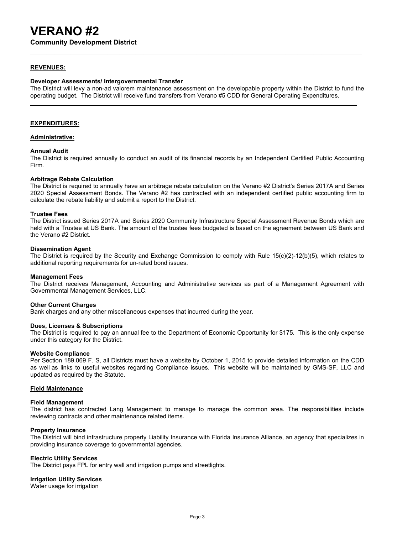**Community Development District**

#### **REVENUES:**

#### **Developer Assessments/ Intergovernmental Transfer**

The District will levy a non-ad valorem maintenance assessment on the developable property within the District to fund the operating budget. The District will receive fund transfers from Verano #5 CDD for General Operating Expenditures.

**\_\_\_\_\_**

#### **EXPENDITURES:**

#### **Administrative:**

#### **Annual Audit**

The District is required annually to conduct an audit of its financial records by an Independent Certified Public Accounting Firm.

#### **Arbitrage Rebate Calculation**

The District is required to annually have an arbitrage rebate calculation on the Verano #2 District's Series 2017A and Series 2020 Special Assessment Bonds. The Verano #2 has contracted with an independent certified public accounting firm to calculate the rebate liability and submit a report to the District.

#### **Trustee Fees**

The District issued Series 2017A and Series 2020 Community Infrastructure Special Assessment Revenue Bonds which are held with a Trustee at US Bank. The amount of the trustee fees budgeted is based on the agreement between US Bank and the Verano #2 District.

#### **Dissemination Agent**

The District is required by the Security and Exchange Commission to comply with Rule 15(c)(2)-12(b)(5), which relates to additional reporting requirements for un-rated bond issues.

#### **Management Fees**

The District receives Management, Accounting and Administrative services as part of a Management Agreement with Governmental Management Services, LLC.

#### **Other Current Charges**

Bank charges and any other miscellaneous expenses that incurred during the year.

#### **Dues, Licenses & Subscriptions**

The District is required to pay an annual fee to the Department of Economic Opportunity for \$175. This is the only expense under this category for the District.

#### **Website Compliance**

Per Section 189.069 F. S, all Districts must have a website by October 1, 2015 to provide detailed information on the CDD as well as links to useful websites regarding Compliance issues. This website will be maintained by GMS-SF, LLC and updated as required by the Statute.

#### **Field Maintenance**

#### **Field Management**

The district has contracted Lang Management to manage to manage the common area. The responsibilities include reviewing contracts and other maintenance related items.

#### **Property Insurance**

The District will bind infrastructure property Liability Insurance with Florida Insurance Alliance, an agency that specializes in providing insurance coverage to governmental agencies.

#### **Electric Utility Services**

The District pays FPL for entry wall and irrigation pumps and streetlights.

#### **Irrigation Utility Services**

Water usage for irrigation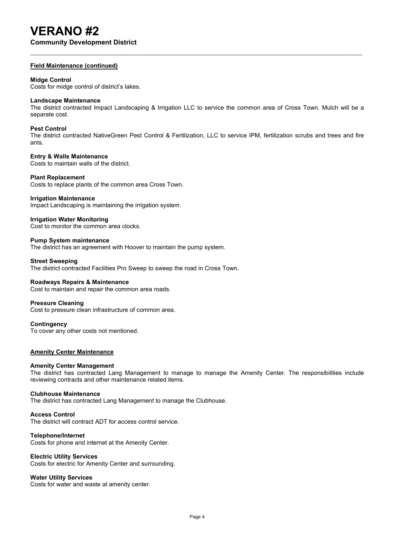**Community Development District**

#### **Field Maintenance (continued)**

#### **Midge Control**

Costs for midge control of district's lakes.

#### **Landscape Maintenance**

The district contracted Impact Landscaping & Irrigation LLC to service the common area of Cross Town. Mulch will be a separate cost.

#### **Pest Control**

The district contracted NativeGreen Pest Control & Fertilization, LLC to service IPM, fertilization scrubs and trees and fire ants.

#### **Entry & Walls Maintenance**

Costs to maintain walls of the district.

#### **Plant Replacement**

Costs to replace plants of the common area Cross Town.

**Irrigation Maintenance** Impact Landscaping is maintaining the irrigation system.

#### **Irrigation Water Monitoring**

Cost to monitor the common area clocks.

#### **Pump System maintenance**

The district has an agreement with Hoover to maintain the pump system.

#### **Street Sweeping**

The district contracted Facilities Pro Sweep to sweep the road in Cross Town.

#### **Roadways Repairs & Maintenance**

Cost to maintain and repair the common area roads.

#### **Pressure Cleaning**

Cost to pressure clean infrastructure of common area.

#### **Contingency**

To cover any other costs not mentioned.

#### **Amenity Center Maintenance**

#### **Amenity Center Management**

The district has contracted Lang Management to manage to manage the Amenity Center. The responsibilities include reviewing contracts and other maintenance related items.

#### **Clubhouse Maintenance**

The district has contracted Lang Management to manage the Clubhouse.

#### **Access Control**

The district will contract ADT for access control service.

#### **Telephone/Internet**

Costs for phone and internet at the Amenity Center.

#### **Electric Utility Services**

Costs for electric for Amenity Center and surrounding.

#### **Water Utility Services**

Costs for water and waste at amenity center.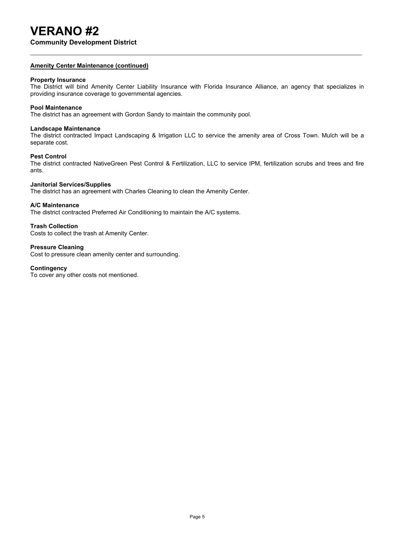**Community Development District**

#### **Amenity Center Maintenance (continued)**

#### **Property Insurance**

The District will bind Amenity Center Liability Insurance with Florida Insurance Alliance, an agency that specializes in providing insurance coverage to governmental agencies.

### **Pool Maintenance**

The district has an agreement with Gordon Sandy to maintain the community pool.

#### **Landscape Maintenance**

The district contracted Impact Landscaping & Irrigation LLC to service the amenity area of Cross Town. Mulch will be a separate cost.

#### **Pest Control**

The district contracted NativeGreen Pest Control & Fertilization, LLC to service IPM, fertilization scrubs and trees and fire ants.

#### **Janitorial Services/Supplies**

The district has an agreement with Charles Cleaning to clean the Amenity Center.

#### **A/C Maintenance**

The district contracted Preferred Air Conditioning to maintain the A/C systems.

#### **Trash Collection**

Costs to collect the trash at Amenity Center.

#### **Pressure Cleaning**

Cost to pressure clean amenity center and surrounding.

#### **Contingency**

To cover any other costs not mentioned.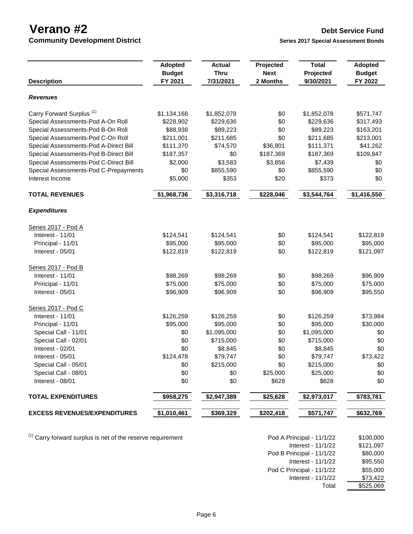**Community Development District Series 2017** Series 2017 Special Assessment Bonds

| <b>Description</b>                    | <b>Adopted</b><br><b>Budget</b><br>FY 2021 | <b>Actual</b><br><b>Thru</b><br>7/31/2021 | Projected<br><b>Next</b><br>2 Months | <b>Total</b><br>Projected<br>9/30/2021 | <b>Adopted</b><br><b>Budget</b><br>FY 2022 |
|---------------------------------------|--------------------------------------------|-------------------------------------------|--------------------------------------|----------------------------------------|--------------------------------------------|
| Revenues                              |                                            |                                           |                                      |                                        |                                            |
| Carry Forward Surplus <sup>(1)</sup>  | \$1,134,168                                | \$1,852,078                               | \$0                                  | \$1,852,078                            | \$571,747                                  |
| Special Assessments-Pod A-On Roll     | \$228,902                                  | \$229,636                                 | \$0                                  | \$229,636                              | \$317,493                                  |
| Special Assessments-Pod B-On Roll     | \$88,938                                   | \$89,223                                  | \$0                                  | \$89,223                               | \$163,201                                  |
| Special Assessments-Pod C-On Roll     | \$211,001                                  | \$211,685                                 | \$0                                  | \$211,685                              | \$213,001                                  |
| Special Assessments-Pod A-Direct Bill | \$111,370                                  | \$74,570                                  | \$36,801                             | \$111,371                              | \$41,262                                   |
| Special Assessments-Pod B-Direct Bill | \$187,357                                  | \$0                                       | \$187,369                            | \$187,369                              | \$109,847                                  |
| Special Assessments-Pod C-Direct Bill | \$2,000                                    | \$3,583                                   | \$3,856                              | \$7,439                                | \$0                                        |
| Special Assessments-Pod C-Prepayments | \$0                                        | \$855,590                                 | \$0                                  | \$855,590                              | \$0                                        |
| Interest Income                       | \$5,000                                    | \$353                                     | \$20                                 | \$373                                  | \$0                                        |
| <b>TOTAL REVENUES</b>                 | \$1,968,736                                | \$3,316,718                               | \$228,046                            | \$3,544,764                            | \$1,416,550                                |
| <b>Expenditures</b>                   |                                            |                                           |                                      |                                        |                                            |
| Series 2017 - Pod A                   |                                            |                                           |                                      |                                        |                                            |
| Interest - 11/01                      | \$124,541                                  | \$124,541                                 | \$0                                  | \$124,541                              | \$122,819                                  |
| Principal - 11/01                     | \$95,000                                   | \$95,000                                  | \$0                                  | \$95,000                               | \$95,000                                   |
| Interest - 05/01                      | \$122,819                                  | \$122,819                                 | \$0                                  | \$122,819                              | \$121,097                                  |
| Series 2017 - Pod B                   |                                            |                                           |                                      |                                        |                                            |
| Interest - $11/01$                    | \$98,269                                   | \$98,269                                  | \$0                                  | \$98,269                               | \$96,909                                   |
| Principal - 11/01                     | \$75,000                                   | \$75,000                                  | \$0                                  | \$75,000                               | \$75,000                                   |
| Interest - 05/01                      | \$96,909                                   | \$96,909                                  | \$0                                  | \$96,909                               | \$95,550                                   |
| Series 2017 - Pod C                   |                                            |                                           |                                      |                                        |                                            |
| Interest - 11/01                      | \$126,259                                  | \$126,259                                 | \$0                                  | \$126,259                              | \$73,984                                   |
| Principal - 11/01                     | \$95,000                                   | \$95,000                                  | \$0                                  | \$95,000                               | \$30,000                                   |
| Special Call - 11/01                  | \$0                                        | \$1,095,000                               | \$0                                  | \$1,095,000                            | \$0                                        |
| Special Call - 02/01                  | \$0                                        | \$715,000                                 | \$0                                  | \$715,000                              | \$0                                        |
| Interest - 02/01                      | \$0                                        | \$8,845                                   | \$0                                  | \$8,845                                | \$0                                        |
| Interest - 05/01                      | \$124,478                                  | \$79,747                                  | \$0                                  | \$79,747                               | \$73,422                                   |
| Special Call - 05/01                  | \$0                                        | \$215,000                                 | \$0                                  | \$215,000                              | \$0                                        |
| Special Call - 08/01                  | \$0                                        | \$0                                       | \$25,000                             | \$25,000                               | \$0                                        |
| Interest - 08/01                      | \$0                                        | \$0                                       | \$628                                | \$628                                  | \$0                                        |
| <b>TOTAL EXPENDITURES</b>             | \$958,275                                  | \$2,947,389                               | \$25,628                             | \$2,973,017                            | \$783,781                                  |
| <b>EXCESS REVENUES/EXPENDITURES</b>   | \$1,010,461                                | \$369,329                                 | \$202,418                            | \$571,747                              | \$632,769                                  |

 $(1)$  Carry forward surplus is net of the reserve requirement

| Pod A Principal - 11/1/22 | \$100,000 |
|---------------------------|-----------|
| Interest - 11/1/22        | \$121,097 |
| Pod B Principal - 11/1/22 | \$80,000  |
| Interest - 11/1/22        | \$95,550  |
| Pod C Principal - 11/1/22 | \$55,000  |
| Interest - 11/1/22        | \$73,422  |
| Total                     | \$525,069 |
|                           |           |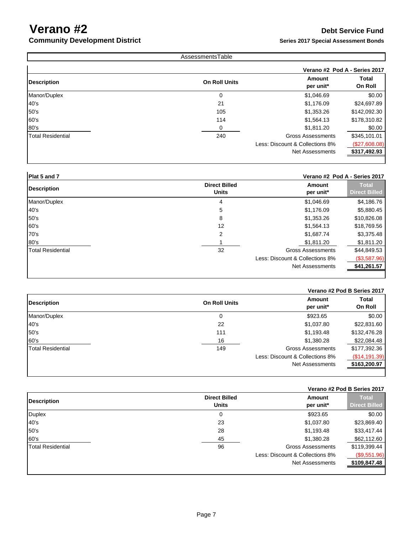### **Community Development District Series 2017 Special Assessment Bonds Series 2017** Special Assessment Bonds

|                          | AssessmentsTable     |                                 |                               |
|--------------------------|----------------------|---------------------------------|-------------------------------|
|                          |                      |                                 | Verano #2 Pod A - Series 2017 |
| Description              | <b>On Roll Units</b> | Amount<br>per unit*             | Total<br>On Roll              |
| Manor/Duplex             | 0                    | \$1,046.69                      | \$0.00                        |
| 40's                     | 21                   | \$1,176.09                      | \$24,697.89                   |
| 50's                     | 105                  | \$1,353.26                      | \$142,092.30                  |
| 60's                     | 114                  | \$1,564.13                      | \$178,310.82                  |
| 80's                     | 0                    | \$1,811.20                      | \$0.00                        |
| <b>Total Residential</b> | 240                  | <b>Gross Assessments</b>        | \$345,101.01                  |
|                          |                      | Less: Discount & Collections 8% | (\$27,608.08)                 |
|                          |                      | <b>Net Assessments</b>          | \$317,492.93                  |

### **Plat 5 and 7 Verano #2 Pod A - Series 2017**

| <b>Description</b>       | <b>Direct Billed</b><br><b>Units</b> | Amount<br>per unit*             | <b>Total</b><br><b>Direct Billed</b> |
|--------------------------|--------------------------------------|---------------------------------|--------------------------------------|
| Manor/Duplex             | 4                                    | \$1,046.69                      | \$4,186.76                           |
| 40's                     | 5                                    | \$1,176.09                      | \$5,880.45                           |
| 50's                     | 8                                    | \$1,353.26                      | \$10,826.08                          |
| 60's                     | 12                                   | \$1,564.13                      | \$18,769.56                          |
| 70's                     | 2                                    | \$1,687.74                      | \$3,375.48                           |
| 80's                     |                                      | \$1,811.20                      | \$1,811.20                           |
| <b>Total Residential</b> | 32                                   | <b>Gross Assessments</b>        | \$44,849.53                          |
|                          |                                      | Less: Discount & Collections 8% | (\$3,587.96)                         |
|                          |                                      | <b>Net Assessments</b>          | \$41,261.57                          |
|                          |                                      |                                 |                                      |

|                          |                      |                                 | Verano #2 Pod B Series 2017 |
|--------------------------|----------------------|---------------------------------|-----------------------------|
| <b>Description</b>       | <b>On Roll Units</b> | Amount<br>per unit*             | <b>Total</b><br>On Roll     |
| Manor/Duplex             | 0                    | \$923.65                        | \$0.00                      |
| 40's                     | 22                   | \$1,037.80                      | \$22,831.60                 |
| 50's                     | 111                  | \$1,193.48                      | \$132,476.28                |
| 60's                     | 16                   | \$1,380.28                      | \$22,084.48                 |
| <b>Total Residential</b> | 149                  | <b>Gross Assessments</b>        | \$177,392.36                |
|                          |                      | Less: Discount & Collections 8% | (\$14,191.39)               |
|                          |                      | Net Assessments                 | \$163,200.97                |
|                          |                      |                                 |                             |

#### **Verano #2 Pod B Series 2017**

| <b>Description</b>       | <b>Direct Billed</b><br><b>Units</b> | <b>Amount</b><br>per unit*      | <b>Total</b><br><b>Direct Billed</b> |
|--------------------------|--------------------------------------|---------------------------------|--------------------------------------|
| <b>Duplex</b>            | 0                                    | \$923.65                        | \$0.00                               |
| 40's                     | 23                                   | \$1,037.80                      | \$23,869.40                          |
| 50's                     | 28                                   | \$1,193.48                      | \$33,417.44                          |
| 60's                     | 45                                   | \$1,380.28                      | \$62,112.60                          |
| <b>Total Residential</b> | 96                                   | <b>Gross Assessments</b>        | \$119,399.44                         |
|                          |                                      | Less: Discount & Collections 8% | (\$9,551.96)                         |
|                          |                                      | <b>Net Assessments</b>          | \$109,847.48                         |
|                          |                                      |                                 |                                      |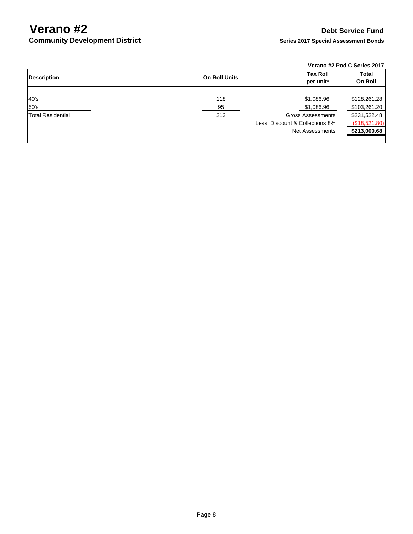**Community Development District** 

### **Verano #2 Pod C Series 2017**

| <b>Description</b> | <b>On Roll Units</b> | <b>Tax Roll</b><br>per unit*    | <b>Total</b><br>On Roll |
|--------------------|----------------------|---------------------------------|-------------------------|
| 40's               | 118                  | \$1,086.96                      | \$128,261.28            |
| 50's               | 95                   | \$1,086.96                      | \$103,261.20            |
| Total Residential  | 213                  | <b>Gross Assessments</b>        | \$231,522.48            |
|                    |                      | Less: Discount & Collections 8% | (\$18,521.80)           |
|                    |                      | Net Assessments                 | \$213,000.68            |
|                    |                      |                                 |                         |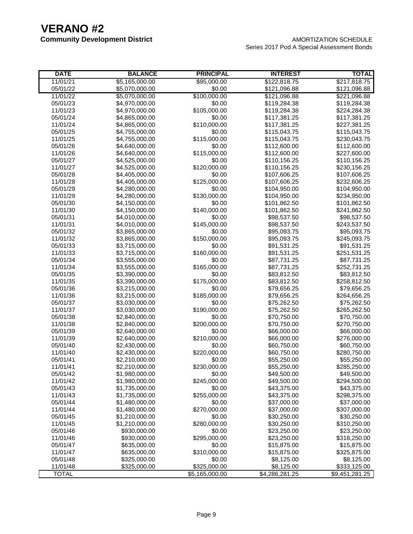| <b>DATE</b>  | <b>BALANCE</b> | <b>PRINCIPAL</b> | <b>INTEREST</b> | <b>TOTAL</b>   |
|--------------|----------------|------------------|-----------------|----------------|
| 11/01/21     | \$5,165,000.00 | \$95,000.00      | \$122,818.75    | \$217,818.75   |
| 05/01/22     | \$5,070,000.00 | \$0.00           | \$121,096.88    | \$121,096.88   |
| 11/01/22     | \$5,070,000.00 | \$100,000.00     | \$121,096.88    | \$221,096.88   |
| 05/01/23     | \$4,970,000.00 | \$0.00           | \$119,284.38    | \$119,284.38   |
| 11/01/23     | \$4,970,000.00 | \$105,000.00     | \$119,284.38    | \$224,284.38   |
| 05/01/24     | \$4,865,000.00 | \$0.00           | \$117,381.25    | \$117,381.25   |
| 11/01/24     | \$4,865,000.00 | \$110,000.00     | \$117,381.25    | \$227,381.25   |
| 05/01/25     | \$4,755,000.00 | \$0.00           | \$115,043.75    | \$115,043.75   |
| 11/01/25     | \$4,755,000.00 | \$115,000.00     | \$115,043.75    | \$230,043.75   |
| 05/01/26     | \$4,640,000.00 | \$0.00           | \$112,600.00    | \$112,600.00   |
| 11/01/26     | \$4,640,000.00 | \$115,000.00     | \$112,600.00    | \$227,600.00   |
| 05/01/27     | \$4,525,000.00 | \$0.00           | \$110,156.25    | \$110,156.25   |
| 11/01/27     | \$4,525,000.00 | \$120,000.00     | \$110,156.25    | \$230,156.25   |
| 05/01/28     | \$4,405,000.00 | \$0.00           | \$107,606.25    | \$107,606.25   |
| 11/01/28     | \$4,405,000.00 | \$125,000.00     | \$107,606.25    | \$232,606.25   |
| 05/01/29     | \$4,280,000.00 | \$0.00           | \$104,950.00    | \$104,950.00   |
| 11/01/29     | \$4,280,000.00 | \$130,000.00     | \$104,950.00    | \$234,950.00   |
| 05/01/30     | \$4,150,000.00 | \$0.00           | \$101,862.50    | \$101,862.50   |
| 11/01/30     | \$4,150,000.00 | \$140,000.00     | \$101,862.50    | \$241,862.50   |
| 05/01/31     | \$4,010,000.00 | \$0.00           | \$98,537.50     | \$98,537.50    |
| 11/01/31     | \$4,010,000.00 | \$145,000.00     | \$98,537.50     | \$243,537.50   |
| 05/01/32     | \$3,865,000.00 | \$0.00           | \$95,093.75     | \$95,093.75    |
| 11/01/32     | \$3,865,000.00 | \$150,000.00     | \$95,093.75     | \$245,093.75   |
| 05/01/33     | \$3,715,000.00 | \$0.00           | \$91,531.25     | \$91,531.25    |
| 11/01/33     | \$3,715,000.00 | \$160,000.00     | \$91,531.25     | \$251,531.25   |
| 05/01/34     | \$3,555,000.00 | \$0.00           | \$87,731.25     | \$87,731.25    |
| 11/01/34     | \$3,555,000.00 | \$165,000.00     | \$87,731.25     | \$252,731.25   |
| 05/01/35     | \$3,390,000.00 | \$0.00           | \$83,812.50     | \$83,812.50    |
| 11/01/35     | \$3,390,000.00 | \$175,000.00     | \$83,812.50     | \$258,812.50   |
| 05/01/36     | \$3,215,000.00 | \$0.00           | \$79,656.25     | \$79,656.25    |
| 11/01/36     | \$3,215,000.00 | \$185,000.00     | \$79,656.25     | \$264,656.25   |
| 05/01/37     | \$3,030,000.00 | \$0.00           | \$75,262.50     | \$75,262.50    |
| 11/01/37     | \$3,030,000.00 | \$190,000.00     | \$75,262.50     | \$265,262.50   |
| 05/01/38     | \$2,840,000.00 | \$0.00           | \$70,750.00     | \$70,750.00    |
| 11/01/38     | \$2,840,000.00 | \$200,000.00     | \$70,750.00     | \$270,750.00   |
| 05/01/39     | \$2,640,000.00 | \$0.00           | \$66,000.00     | \$66,000.00    |
| 11/01/39     | \$2,640,000.00 | \$210,000.00     | \$66,000.00     | \$276,000.00   |
| 05/01/40     | \$2,430,000.00 | \$0.00           | \$60,750.00     | \$60,750.00    |
| 11/01/40     | \$2,430,000.00 | \$220,000.00     | \$60,750.00     | \$280,750.00   |
| 05/01/41     | \$2,210,000.00 | \$0.00           | \$55,250.00     | \$55,250.00    |
| 11/01/41     | \$2,210,000.00 | \$230,000.00     | \$55,250.00     | \$285,250.00   |
| 05/01/42     | \$1,980,000.00 | \$0.00           | \$49,500.00     | \$49,500.00    |
| 11/01/42     | \$1,980,000.00 | \$245,000.00     | \$49,500.00     | \$294,500.00   |
| 05/01/43     | \$1,735,000.00 | \$0.00           | \$43,375.00     | \$43,375.00    |
| 11/01/43     | \$1,735,000.00 | \$255,000.00     | \$43,375.00     | \$298,375.00   |
| 05/01/44     | \$1,480,000.00 | \$0.00           | \$37,000.00     | \$37,000.00    |
| 11/01/44     | \$1,480,000.00 | \$270,000.00     | \$37,000.00     | \$307,000.00   |
| 05/01/45     | \$1,210,000.00 | \$0.00           | \$30,250.00     | \$30,250.00    |
| 11/01/45     | \$1,210,000.00 | \$280,000.00     | \$30,250.00     | \$310,250.00   |
| 05/01/46     | \$930,000.00   | \$0.00           | \$23,250.00     | \$23,250.00    |
| 11/01/46     | \$930,000.00   | \$295,000.00     | \$23,250.00     | \$318,250.00   |
| 05/01/47     | \$635,000.00   | \$0.00           | \$15,875.00     | \$15,875.00    |
| 11/01/47     | \$635,000.00   | \$310,000.00     | \$15,875.00     | \$325,875.00   |
| 05/01/48     | \$325,000.00   | \$0.00           | \$8,125.00      | \$8,125.00     |
| 11/01/48     | \$325,000.00   | \$325,000.00     | \$8,125.00      | \$333,125.00   |
| <b>TOTAL</b> |                | \$5,165,000.00   | \$4,286,281.25  | \$9,451,281.25 |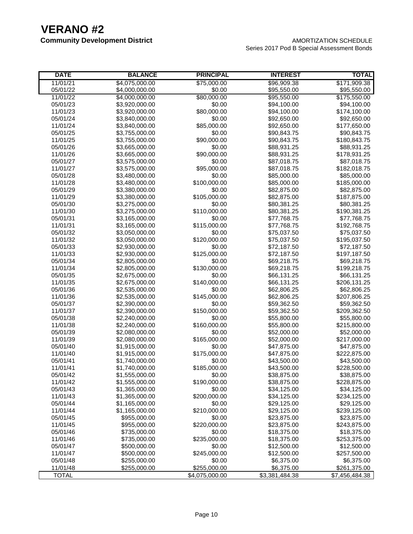| \$4,075,000.00<br>\$171,909.38<br>11/01/21<br>\$75,000.00<br>\$96,909.38<br>05/01/22<br>\$4,000,000.00<br>\$0.00<br>\$95,550.00<br>\$95,550.00<br>\$80,000.00<br>11/01/22<br>\$4,000,000.00<br>\$95,550.00<br>\$175,550.00<br>05/01/23<br>\$3,920,000.00<br>\$0.00<br>\$94,100.00<br>\$94,100.00<br>\$80,000.00<br>11/01/23<br>\$3,920,000.00<br>\$94,100.00<br>\$174,100.00<br>\$0.00<br>05/01/24<br>\$3,840,000.00<br>\$92,650.00<br>\$92,650.00<br>\$85,000.00<br>11/01/24<br>\$3,840,000.00<br>\$92,650.00<br>\$177,650.00<br>05/01/25<br>\$3,755,000.00<br>\$0.00<br>\$90,843.75<br>\$90,843.75<br>11/01/25<br>\$3,755,000.00<br>\$90,000.00<br>\$90,843.75<br>\$180,843.75<br>\$0.00<br>05/01/26<br>\$3,665,000.00<br>\$88,931.25<br>\$88,931.25<br>11/01/26<br>\$3,665,000.00<br>\$90,000.00<br>\$88,931.25<br>\$178,931.25<br>05/01/27<br>\$3,575,000.00<br>\$0.00<br>\$87,018.75<br>\$87,018.75<br>11/01/27<br>\$3,575,000.00<br>\$95,000.00<br>\$87,018.75<br>\$182,018.75<br>05/01/28<br>\$3,480,000.00<br>\$0.00<br>\$85,000.00<br>\$85,000.00<br>\$100,000.00<br>11/01/28<br>\$3,480,000.00<br>\$85,000.00<br>\$185,000.00<br>05/01/29<br>\$0.00<br>\$3,380,000.00<br>\$82,875.00<br>\$82,875.00<br>11/01/29<br>\$3,380,000.00<br>\$105,000.00<br>\$187,875.00<br>\$82,875.00<br>05/01/30<br>\$3,275,000.00<br>\$0.00<br>\$80,381.25<br>\$80,381.25<br>\$110,000.00<br>11/01/30<br>\$3,275,000.00<br>\$80,381.25<br>\$190,381.25<br>05/01/31<br>\$3,165,000.00<br>\$0.00<br>\$77,768.75<br>\$77,768.75<br>11/01/31<br>\$3,165,000.00<br>\$115,000.00<br>\$77,768.75<br>\$192,768.75<br>05/01/32<br>\$3,050,000.00<br>\$0.00<br>\$75,037.50<br>\$75,037.50<br>\$120,000.00<br>11/01/32<br>\$3,050,000.00<br>\$75,037.50<br>\$195,037.50<br>\$0.00<br>05/01/33<br>\$2,930,000.00<br>\$72,187.50<br>\$72,187.50<br>\$125,000.00<br>11/01/33<br>\$2,930,000.00<br>\$72,187.50<br>\$197,187.50<br>\$0.00<br>05/01/34<br>\$2,805,000.00<br>\$69,218.75<br>\$69,218.75<br>\$130,000.00<br>11/01/34<br>\$2,805,000.00<br>\$69,218.75<br>\$199,218.75<br>05/01/35<br>\$2,675,000.00<br>\$0.00<br>\$66,131.25<br>\$66,131.25<br>11/01/35<br>\$2,675,000.00<br>\$140,000.00<br>\$206,131.25<br>\$66,131.25<br>05/01/36<br>\$2,535,000.00<br>\$0.00<br>\$62,806.25<br>\$62,806.25<br>\$145,000.00<br>11/01/36<br>\$2,535,000.00<br>\$62,806.25<br>\$207,806.25<br>05/01/37<br>\$2,390,000.00<br>\$0.00<br>\$59,362.50<br>\$59,362.50<br>11/01/37<br>\$2,390,000.00<br>\$150,000.00<br>\$59,362.50<br>\$209,362.50<br>\$0.00<br>05/01/38<br>\$2,240,000.00<br>\$55,800.00<br>\$55,800.00<br>\$160,000.00<br>11/01/38<br>\$2,240,000.00<br>\$215,800.00<br>\$55,800.00<br>05/01/39<br>\$2,080,000.00<br>\$0.00<br>\$52,000.00<br>\$52,000.00<br>11/01/39<br>\$2,080,000.00<br>\$165,000.00<br>\$217,000.00<br>\$52,000.00<br>\$0.00<br>05/01/40<br>\$1,915,000.00<br>\$47,875.00<br>\$47,875.00<br>11/01/40<br>\$1,915,000.00<br>\$175,000.00<br>\$47,875.00<br>\$222,875.00<br>05/01/41<br>\$1,740,000.00<br>\$0.00<br>\$43,500.00<br>\$43,500.00<br>\$185,000.00<br>11/01/41<br>\$1,740,000.00<br>\$43,500.00<br>\$228,500.00<br>05/01/42<br>\$1,555,000.00<br>\$0.00<br>\$38,875.00<br>\$38,875.00<br>\$1,555,000.00<br>\$190,000.00<br>11/01/42<br>\$38,875.00<br>\$228,875.00<br>05/01/43<br>\$1,365,000.00<br>\$0.00<br>\$34,125.00<br>\$34,125.00<br>\$200,000.00<br>11/01/43<br>\$1,365,000.00<br>\$34,125.00<br>\$234,125.00<br>05/01/44<br>\$1,165,000.00<br>\$0.00<br>\$29,125.00<br>\$29,125.00<br>\$1,165,000.00<br>\$210,000.00<br>\$29,125.00<br>\$239,125.00<br>11/01/44<br>\$955,000.00<br>\$0.00<br>05/01/45<br>\$23,875.00<br>\$23,875.00<br>11/01/45<br>\$955,000.00<br>\$220,000.00<br>\$23,875.00<br>\$243,875.00<br>05/01/46<br>\$735,000.00<br>\$0.00<br>\$18,375.00<br>\$18,375.00<br>11/01/46<br>\$735,000.00<br>\$235,000.00<br>\$18,375.00<br>\$253,375.00<br>\$500,000.00<br>\$0.00<br>\$12,500.00<br>\$12,500.00<br>05/01/47<br>\$500,000.00<br>\$245,000.00<br>\$12,500.00<br>11/01/47<br>\$257,500.00<br>05/01/48<br>\$255,000.00<br>\$0.00<br>\$6,375.00<br>\$6,375.00<br>\$6,375.00<br>11/01/48<br>\$255,000.00<br>\$255,000.00<br>\$261,375.00 | <b>DATE</b>  | <b>BALANCE</b> | <b>PRINCIPAL</b> | <b>INTEREST</b> | TOTAL          |
|----------------------------------------------------------------------------------------------------------------------------------------------------------------------------------------------------------------------------------------------------------------------------------------------------------------------------------------------------------------------------------------------------------------------------------------------------------------------------------------------------------------------------------------------------------------------------------------------------------------------------------------------------------------------------------------------------------------------------------------------------------------------------------------------------------------------------------------------------------------------------------------------------------------------------------------------------------------------------------------------------------------------------------------------------------------------------------------------------------------------------------------------------------------------------------------------------------------------------------------------------------------------------------------------------------------------------------------------------------------------------------------------------------------------------------------------------------------------------------------------------------------------------------------------------------------------------------------------------------------------------------------------------------------------------------------------------------------------------------------------------------------------------------------------------------------------------------------------------------------------------------------------------------------------------------------------------------------------------------------------------------------------------------------------------------------------------------------------------------------------------------------------------------------------------------------------------------------------------------------------------------------------------------------------------------------------------------------------------------------------------------------------------------------------------------------------------------------------------------------------------------------------------------------------------------------------------------------------------------------------------------------------------------------------------------------------------------------------------------------------------------------------------------------------------------------------------------------------------------------------------------------------------------------------------------------------------------------------------------------------------------------------------------------------------------------------------------------------------------------------------------------------------------------------------------------------------------------------------------------------------------------------------------------------------------------------------------------------------------------------------------------------------------------------------------------------------------------------------------------------------------------------------------------------------------------------------------------------------------------------------------------------------------------------------------------------------------------------------------------------------------------------------------------------------------------------------------------------------------------------------------------------------------------------------------------------------------------------------------------------------------------------------------------------------------------------------------------------------------------------------------------------------------------------------------|--------------|----------------|------------------|-----------------|----------------|
|                                                                                                                                                                                                                                                                                                                                                                                                                                                                                                                                                                                                                                                                                                                                                                                                                                                                                                                                                                                                                                                                                                                                                                                                                                                                                                                                                                                                                                                                                                                                                                                                                                                                                                                                                                                                                                                                                                                                                                                                                                                                                                                                                                                                                                                                                                                                                                                                                                                                                                                                                                                                                                                                                                                                                                                                                                                                                                                                                                                                                                                                                                                                                                                                                                                                                                                                                                                                                                                                                                                                                                                                                                                                                                                                                                                                                                                                                                                                                                                                                                                                                                                                                                                  |              |                |                  |                 |                |
|                                                                                                                                                                                                                                                                                                                                                                                                                                                                                                                                                                                                                                                                                                                                                                                                                                                                                                                                                                                                                                                                                                                                                                                                                                                                                                                                                                                                                                                                                                                                                                                                                                                                                                                                                                                                                                                                                                                                                                                                                                                                                                                                                                                                                                                                                                                                                                                                                                                                                                                                                                                                                                                                                                                                                                                                                                                                                                                                                                                                                                                                                                                                                                                                                                                                                                                                                                                                                                                                                                                                                                                                                                                                                                                                                                                                                                                                                                                                                                                                                                                                                                                                                                                  |              |                |                  |                 |                |
|                                                                                                                                                                                                                                                                                                                                                                                                                                                                                                                                                                                                                                                                                                                                                                                                                                                                                                                                                                                                                                                                                                                                                                                                                                                                                                                                                                                                                                                                                                                                                                                                                                                                                                                                                                                                                                                                                                                                                                                                                                                                                                                                                                                                                                                                                                                                                                                                                                                                                                                                                                                                                                                                                                                                                                                                                                                                                                                                                                                                                                                                                                                                                                                                                                                                                                                                                                                                                                                                                                                                                                                                                                                                                                                                                                                                                                                                                                                                                                                                                                                                                                                                                                                  |              |                |                  |                 |                |
|                                                                                                                                                                                                                                                                                                                                                                                                                                                                                                                                                                                                                                                                                                                                                                                                                                                                                                                                                                                                                                                                                                                                                                                                                                                                                                                                                                                                                                                                                                                                                                                                                                                                                                                                                                                                                                                                                                                                                                                                                                                                                                                                                                                                                                                                                                                                                                                                                                                                                                                                                                                                                                                                                                                                                                                                                                                                                                                                                                                                                                                                                                                                                                                                                                                                                                                                                                                                                                                                                                                                                                                                                                                                                                                                                                                                                                                                                                                                                                                                                                                                                                                                                                                  |              |                |                  |                 |                |
|                                                                                                                                                                                                                                                                                                                                                                                                                                                                                                                                                                                                                                                                                                                                                                                                                                                                                                                                                                                                                                                                                                                                                                                                                                                                                                                                                                                                                                                                                                                                                                                                                                                                                                                                                                                                                                                                                                                                                                                                                                                                                                                                                                                                                                                                                                                                                                                                                                                                                                                                                                                                                                                                                                                                                                                                                                                                                                                                                                                                                                                                                                                                                                                                                                                                                                                                                                                                                                                                                                                                                                                                                                                                                                                                                                                                                                                                                                                                                                                                                                                                                                                                                                                  |              |                |                  |                 |                |
|                                                                                                                                                                                                                                                                                                                                                                                                                                                                                                                                                                                                                                                                                                                                                                                                                                                                                                                                                                                                                                                                                                                                                                                                                                                                                                                                                                                                                                                                                                                                                                                                                                                                                                                                                                                                                                                                                                                                                                                                                                                                                                                                                                                                                                                                                                                                                                                                                                                                                                                                                                                                                                                                                                                                                                                                                                                                                                                                                                                                                                                                                                                                                                                                                                                                                                                                                                                                                                                                                                                                                                                                                                                                                                                                                                                                                                                                                                                                                                                                                                                                                                                                                                                  |              |                |                  |                 |                |
|                                                                                                                                                                                                                                                                                                                                                                                                                                                                                                                                                                                                                                                                                                                                                                                                                                                                                                                                                                                                                                                                                                                                                                                                                                                                                                                                                                                                                                                                                                                                                                                                                                                                                                                                                                                                                                                                                                                                                                                                                                                                                                                                                                                                                                                                                                                                                                                                                                                                                                                                                                                                                                                                                                                                                                                                                                                                                                                                                                                                                                                                                                                                                                                                                                                                                                                                                                                                                                                                                                                                                                                                                                                                                                                                                                                                                                                                                                                                                                                                                                                                                                                                                                                  |              |                |                  |                 |                |
|                                                                                                                                                                                                                                                                                                                                                                                                                                                                                                                                                                                                                                                                                                                                                                                                                                                                                                                                                                                                                                                                                                                                                                                                                                                                                                                                                                                                                                                                                                                                                                                                                                                                                                                                                                                                                                                                                                                                                                                                                                                                                                                                                                                                                                                                                                                                                                                                                                                                                                                                                                                                                                                                                                                                                                                                                                                                                                                                                                                                                                                                                                                                                                                                                                                                                                                                                                                                                                                                                                                                                                                                                                                                                                                                                                                                                                                                                                                                                                                                                                                                                                                                                                                  |              |                |                  |                 |                |
|                                                                                                                                                                                                                                                                                                                                                                                                                                                                                                                                                                                                                                                                                                                                                                                                                                                                                                                                                                                                                                                                                                                                                                                                                                                                                                                                                                                                                                                                                                                                                                                                                                                                                                                                                                                                                                                                                                                                                                                                                                                                                                                                                                                                                                                                                                                                                                                                                                                                                                                                                                                                                                                                                                                                                                                                                                                                                                                                                                                                                                                                                                                                                                                                                                                                                                                                                                                                                                                                                                                                                                                                                                                                                                                                                                                                                                                                                                                                                                                                                                                                                                                                                                                  |              |                |                  |                 |                |
|                                                                                                                                                                                                                                                                                                                                                                                                                                                                                                                                                                                                                                                                                                                                                                                                                                                                                                                                                                                                                                                                                                                                                                                                                                                                                                                                                                                                                                                                                                                                                                                                                                                                                                                                                                                                                                                                                                                                                                                                                                                                                                                                                                                                                                                                                                                                                                                                                                                                                                                                                                                                                                                                                                                                                                                                                                                                                                                                                                                                                                                                                                                                                                                                                                                                                                                                                                                                                                                                                                                                                                                                                                                                                                                                                                                                                                                                                                                                                                                                                                                                                                                                                                                  |              |                |                  |                 |                |
|                                                                                                                                                                                                                                                                                                                                                                                                                                                                                                                                                                                                                                                                                                                                                                                                                                                                                                                                                                                                                                                                                                                                                                                                                                                                                                                                                                                                                                                                                                                                                                                                                                                                                                                                                                                                                                                                                                                                                                                                                                                                                                                                                                                                                                                                                                                                                                                                                                                                                                                                                                                                                                                                                                                                                                                                                                                                                                                                                                                                                                                                                                                                                                                                                                                                                                                                                                                                                                                                                                                                                                                                                                                                                                                                                                                                                                                                                                                                                                                                                                                                                                                                                                                  |              |                |                  |                 |                |
|                                                                                                                                                                                                                                                                                                                                                                                                                                                                                                                                                                                                                                                                                                                                                                                                                                                                                                                                                                                                                                                                                                                                                                                                                                                                                                                                                                                                                                                                                                                                                                                                                                                                                                                                                                                                                                                                                                                                                                                                                                                                                                                                                                                                                                                                                                                                                                                                                                                                                                                                                                                                                                                                                                                                                                                                                                                                                                                                                                                                                                                                                                                                                                                                                                                                                                                                                                                                                                                                                                                                                                                                                                                                                                                                                                                                                                                                                                                                                                                                                                                                                                                                                                                  |              |                |                  |                 |                |
|                                                                                                                                                                                                                                                                                                                                                                                                                                                                                                                                                                                                                                                                                                                                                                                                                                                                                                                                                                                                                                                                                                                                                                                                                                                                                                                                                                                                                                                                                                                                                                                                                                                                                                                                                                                                                                                                                                                                                                                                                                                                                                                                                                                                                                                                                                                                                                                                                                                                                                                                                                                                                                                                                                                                                                                                                                                                                                                                                                                                                                                                                                                                                                                                                                                                                                                                                                                                                                                                                                                                                                                                                                                                                                                                                                                                                                                                                                                                                                                                                                                                                                                                                                                  |              |                |                  |                 |                |
|                                                                                                                                                                                                                                                                                                                                                                                                                                                                                                                                                                                                                                                                                                                                                                                                                                                                                                                                                                                                                                                                                                                                                                                                                                                                                                                                                                                                                                                                                                                                                                                                                                                                                                                                                                                                                                                                                                                                                                                                                                                                                                                                                                                                                                                                                                                                                                                                                                                                                                                                                                                                                                                                                                                                                                                                                                                                                                                                                                                                                                                                                                                                                                                                                                                                                                                                                                                                                                                                                                                                                                                                                                                                                                                                                                                                                                                                                                                                                                                                                                                                                                                                                                                  |              |                |                  |                 |                |
|                                                                                                                                                                                                                                                                                                                                                                                                                                                                                                                                                                                                                                                                                                                                                                                                                                                                                                                                                                                                                                                                                                                                                                                                                                                                                                                                                                                                                                                                                                                                                                                                                                                                                                                                                                                                                                                                                                                                                                                                                                                                                                                                                                                                                                                                                                                                                                                                                                                                                                                                                                                                                                                                                                                                                                                                                                                                                                                                                                                                                                                                                                                                                                                                                                                                                                                                                                                                                                                                                                                                                                                                                                                                                                                                                                                                                                                                                                                                                                                                                                                                                                                                                                                  |              |                |                  |                 |                |
|                                                                                                                                                                                                                                                                                                                                                                                                                                                                                                                                                                                                                                                                                                                                                                                                                                                                                                                                                                                                                                                                                                                                                                                                                                                                                                                                                                                                                                                                                                                                                                                                                                                                                                                                                                                                                                                                                                                                                                                                                                                                                                                                                                                                                                                                                                                                                                                                                                                                                                                                                                                                                                                                                                                                                                                                                                                                                                                                                                                                                                                                                                                                                                                                                                                                                                                                                                                                                                                                                                                                                                                                                                                                                                                                                                                                                                                                                                                                                                                                                                                                                                                                                                                  |              |                |                  |                 |                |
|                                                                                                                                                                                                                                                                                                                                                                                                                                                                                                                                                                                                                                                                                                                                                                                                                                                                                                                                                                                                                                                                                                                                                                                                                                                                                                                                                                                                                                                                                                                                                                                                                                                                                                                                                                                                                                                                                                                                                                                                                                                                                                                                                                                                                                                                                                                                                                                                                                                                                                                                                                                                                                                                                                                                                                                                                                                                                                                                                                                                                                                                                                                                                                                                                                                                                                                                                                                                                                                                                                                                                                                                                                                                                                                                                                                                                                                                                                                                                                                                                                                                                                                                                                                  |              |                |                  |                 |                |
|                                                                                                                                                                                                                                                                                                                                                                                                                                                                                                                                                                                                                                                                                                                                                                                                                                                                                                                                                                                                                                                                                                                                                                                                                                                                                                                                                                                                                                                                                                                                                                                                                                                                                                                                                                                                                                                                                                                                                                                                                                                                                                                                                                                                                                                                                                                                                                                                                                                                                                                                                                                                                                                                                                                                                                                                                                                                                                                                                                                                                                                                                                                                                                                                                                                                                                                                                                                                                                                                                                                                                                                                                                                                                                                                                                                                                                                                                                                                                                                                                                                                                                                                                                                  |              |                |                  |                 |                |
|                                                                                                                                                                                                                                                                                                                                                                                                                                                                                                                                                                                                                                                                                                                                                                                                                                                                                                                                                                                                                                                                                                                                                                                                                                                                                                                                                                                                                                                                                                                                                                                                                                                                                                                                                                                                                                                                                                                                                                                                                                                                                                                                                                                                                                                                                                                                                                                                                                                                                                                                                                                                                                                                                                                                                                                                                                                                                                                                                                                                                                                                                                                                                                                                                                                                                                                                                                                                                                                                                                                                                                                                                                                                                                                                                                                                                                                                                                                                                                                                                                                                                                                                                                                  |              |                |                  |                 |                |
|                                                                                                                                                                                                                                                                                                                                                                                                                                                                                                                                                                                                                                                                                                                                                                                                                                                                                                                                                                                                                                                                                                                                                                                                                                                                                                                                                                                                                                                                                                                                                                                                                                                                                                                                                                                                                                                                                                                                                                                                                                                                                                                                                                                                                                                                                                                                                                                                                                                                                                                                                                                                                                                                                                                                                                                                                                                                                                                                                                                                                                                                                                                                                                                                                                                                                                                                                                                                                                                                                                                                                                                                                                                                                                                                                                                                                                                                                                                                                                                                                                                                                                                                                                                  |              |                |                  |                 |                |
|                                                                                                                                                                                                                                                                                                                                                                                                                                                                                                                                                                                                                                                                                                                                                                                                                                                                                                                                                                                                                                                                                                                                                                                                                                                                                                                                                                                                                                                                                                                                                                                                                                                                                                                                                                                                                                                                                                                                                                                                                                                                                                                                                                                                                                                                                                                                                                                                                                                                                                                                                                                                                                                                                                                                                                                                                                                                                                                                                                                                                                                                                                                                                                                                                                                                                                                                                                                                                                                                                                                                                                                                                                                                                                                                                                                                                                                                                                                                                                                                                                                                                                                                                                                  |              |                |                  |                 |                |
|                                                                                                                                                                                                                                                                                                                                                                                                                                                                                                                                                                                                                                                                                                                                                                                                                                                                                                                                                                                                                                                                                                                                                                                                                                                                                                                                                                                                                                                                                                                                                                                                                                                                                                                                                                                                                                                                                                                                                                                                                                                                                                                                                                                                                                                                                                                                                                                                                                                                                                                                                                                                                                                                                                                                                                                                                                                                                                                                                                                                                                                                                                                                                                                                                                                                                                                                                                                                                                                                                                                                                                                                                                                                                                                                                                                                                                                                                                                                                                                                                                                                                                                                                                                  |              |                |                  |                 |                |
|                                                                                                                                                                                                                                                                                                                                                                                                                                                                                                                                                                                                                                                                                                                                                                                                                                                                                                                                                                                                                                                                                                                                                                                                                                                                                                                                                                                                                                                                                                                                                                                                                                                                                                                                                                                                                                                                                                                                                                                                                                                                                                                                                                                                                                                                                                                                                                                                                                                                                                                                                                                                                                                                                                                                                                                                                                                                                                                                                                                                                                                                                                                                                                                                                                                                                                                                                                                                                                                                                                                                                                                                                                                                                                                                                                                                                                                                                                                                                                                                                                                                                                                                                                                  |              |                |                  |                 |                |
|                                                                                                                                                                                                                                                                                                                                                                                                                                                                                                                                                                                                                                                                                                                                                                                                                                                                                                                                                                                                                                                                                                                                                                                                                                                                                                                                                                                                                                                                                                                                                                                                                                                                                                                                                                                                                                                                                                                                                                                                                                                                                                                                                                                                                                                                                                                                                                                                                                                                                                                                                                                                                                                                                                                                                                                                                                                                                                                                                                                                                                                                                                                                                                                                                                                                                                                                                                                                                                                                                                                                                                                                                                                                                                                                                                                                                                                                                                                                                                                                                                                                                                                                                                                  |              |                |                  |                 |                |
|                                                                                                                                                                                                                                                                                                                                                                                                                                                                                                                                                                                                                                                                                                                                                                                                                                                                                                                                                                                                                                                                                                                                                                                                                                                                                                                                                                                                                                                                                                                                                                                                                                                                                                                                                                                                                                                                                                                                                                                                                                                                                                                                                                                                                                                                                                                                                                                                                                                                                                                                                                                                                                                                                                                                                                                                                                                                                                                                                                                                                                                                                                                                                                                                                                                                                                                                                                                                                                                                                                                                                                                                                                                                                                                                                                                                                                                                                                                                                                                                                                                                                                                                                                                  |              |                |                  |                 |                |
|                                                                                                                                                                                                                                                                                                                                                                                                                                                                                                                                                                                                                                                                                                                                                                                                                                                                                                                                                                                                                                                                                                                                                                                                                                                                                                                                                                                                                                                                                                                                                                                                                                                                                                                                                                                                                                                                                                                                                                                                                                                                                                                                                                                                                                                                                                                                                                                                                                                                                                                                                                                                                                                                                                                                                                                                                                                                                                                                                                                                                                                                                                                                                                                                                                                                                                                                                                                                                                                                                                                                                                                                                                                                                                                                                                                                                                                                                                                                                                                                                                                                                                                                                                                  |              |                |                  |                 |                |
|                                                                                                                                                                                                                                                                                                                                                                                                                                                                                                                                                                                                                                                                                                                                                                                                                                                                                                                                                                                                                                                                                                                                                                                                                                                                                                                                                                                                                                                                                                                                                                                                                                                                                                                                                                                                                                                                                                                                                                                                                                                                                                                                                                                                                                                                                                                                                                                                                                                                                                                                                                                                                                                                                                                                                                                                                                                                                                                                                                                                                                                                                                                                                                                                                                                                                                                                                                                                                                                                                                                                                                                                                                                                                                                                                                                                                                                                                                                                                                                                                                                                                                                                                                                  |              |                |                  |                 |                |
|                                                                                                                                                                                                                                                                                                                                                                                                                                                                                                                                                                                                                                                                                                                                                                                                                                                                                                                                                                                                                                                                                                                                                                                                                                                                                                                                                                                                                                                                                                                                                                                                                                                                                                                                                                                                                                                                                                                                                                                                                                                                                                                                                                                                                                                                                                                                                                                                                                                                                                                                                                                                                                                                                                                                                                                                                                                                                                                                                                                                                                                                                                                                                                                                                                                                                                                                                                                                                                                                                                                                                                                                                                                                                                                                                                                                                                                                                                                                                                                                                                                                                                                                                                                  |              |                |                  |                 |                |
|                                                                                                                                                                                                                                                                                                                                                                                                                                                                                                                                                                                                                                                                                                                                                                                                                                                                                                                                                                                                                                                                                                                                                                                                                                                                                                                                                                                                                                                                                                                                                                                                                                                                                                                                                                                                                                                                                                                                                                                                                                                                                                                                                                                                                                                                                                                                                                                                                                                                                                                                                                                                                                                                                                                                                                                                                                                                                                                                                                                                                                                                                                                                                                                                                                                                                                                                                                                                                                                                                                                                                                                                                                                                                                                                                                                                                                                                                                                                                                                                                                                                                                                                                                                  |              |                |                  |                 |                |
|                                                                                                                                                                                                                                                                                                                                                                                                                                                                                                                                                                                                                                                                                                                                                                                                                                                                                                                                                                                                                                                                                                                                                                                                                                                                                                                                                                                                                                                                                                                                                                                                                                                                                                                                                                                                                                                                                                                                                                                                                                                                                                                                                                                                                                                                                                                                                                                                                                                                                                                                                                                                                                                                                                                                                                                                                                                                                                                                                                                                                                                                                                                                                                                                                                                                                                                                                                                                                                                                                                                                                                                                                                                                                                                                                                                                                                                                                                                                                                                                                                                                                                                                                                                  |              |                |                  |                 |                |
|                                                                                                                                                                                                                                                                                                                                                                                                                                                                                                                                                                                                                                                                                                                                                                                                                                                                                                                                                                                                                                                                                                                                                                                                                                                                                                                                                                                                                                                                                                                                                                                                                                                                                                                                                                                                                                                                                                                                                                                                                                                                                                                                                                                                                                                                                                                                                                                                                                                                                                                                                                                                                                                                                                                                                                                                                                                                                                                                                                                                                                                                                                                                                                                                                                                                                                                                                                                                                                                                                                                                                                                                                                                                                                                                                                                                                                                                                                                                                                                                                                                                                                                                                                                  |              |                |                  |                 |                |
|                                                                                                                                                                                                                                                                                                                                                                                                                                                                                                                                                                                                                                                                                                                                                                                                                                                                                                                                                                                                                                                                                                                                                                                                                                                                                                                                                                                                                                                                                                                                                                                                                                                                                                                                                                                                                                                                                                                                                                                                                                                                                                                                                                                                                                                                                                                                                                                                                                                                                                                                                                                                                                                                                                                                                                                                                                                                                                                                                                                                                                                                                                                                                                                                                                                                                                                                                                                                                                                                                                                                                                                                                                                                                                                                                                                                                                                                                                                                                                                                                                                                                                                                                                                  |              |                |                  |                 |                |
|                                                                                                                                                                                                                                                                                                                                                                                                                                                                                                                                                                                                                                                                                                                                                                                                                                                                                                                                                                                                                                                                                                                                                                                                                                                                                                                                                                                                                                                                                                                                                                                                                                                                                                                                                                                                                                                                                                                                                                                                                                                                                                                                                                                                                                                                                                                                                                                                                                                                                                                                                                                                                                                                                                                                                                                                                                                                                                                                                                                                                                                                                                                                                                                                                                                                                                                                                                                                                                                                                                                                                                                                                                                                                                                                                                                                                                                                                                                                                                                                                                                                                                                                                                                  |              |                |                  |                 |                |
|                                                                                                                                                                                                                                                                                                                                                                                                                                                                                                                                                                                                                                                                                                                                                                                                                                                                                                                                                                                                                                                                                                                                                                                                                                                                                                                                                                                                                                                                                                                                                                                                                                                                                                                                                                                                                                                                                                                                                                                                                                                                                                                                                                                                                                                                                                                                                                                                                                                                                                                                                                                                                                                                                                                                                                                                                                                                                                                                                                                                                                                                                                                                                                                                                                                                                                                                                                                                                                                                                                                                                                                                                                                                                                                                                                                                                                                                                                                                                                                                                                                                                                                                                                                  |              |                |                  |                 |                |
|                                                                                                                                                                                                                                                                                                                                                                                                                                                                                                                                                                                                                                                                                                                                                                                                                                                                                                                                                                                                                                                                                                                                                                                                                                                                                                                                                                                                                                                                                                                                                                                                                                                                                                                                                                                                                                                                                                                                                                                                                                                                                                                                                                                                                                                                                                                                                                                                                                                                                                                                                                                                                                                                                                                                                                                                                                                                                                                                                                                                                                                                                                                                                                                                                                                                                                                                                                                                                                                                                                                                                                                                                                                                                                                                                                                                                                                                                                                                                                                                                                                                                                                                                                                  |              |                |                  |                 |                |
|                                                                                                                                                                                                                                                                                                                                                                                                                                                                                                                                                                                                                                                                                                                                                                                                                                                                                                                                                                                                                                                                                                                                                                                                                                                                                                                                                                                                                                                                                                                                                                                                                                                                                                                                                                                                                                                                                                                                                                                                                                                                                                                                                                                                                                                                                                                                                                                                                                                                                                                                                                                                                                                                                                                                                                                                                                                                                                                                                                                                                                                                                                                                                                                                                                                                                                                                                                                                                                                                                                                                                                                                                                                                                                                                                                                                                                                                                                                                                                                                                                                                                                                                                                                  |              |                |                  |                 |                |
|                                                                                                                                                                                                                                                                                                                                                                                                                                                                                                                                                                                                                                                                                                                                                                                                                                                                                                                                                                                                                                                                                                                                                                                                                                                                                                                                                                                                                                                                                                                                                                                                                                                                                                                                                                                                                                                                                                                                                                                                                                                                                                                                                                                                                                                                                                                                                                                                                                                                                                                                                                                                                                                                                                                                                                                                                                                                                                                                                                                                                                                                                                                                                                                                                                                                                                                                                                                                                                                                                                                                                                                                                                                                                                                                                                                                                                                                                                                                                                                                                                                                                                                                                                                  |              |                |                  |                 |                |
|                                                                                                                                                                                                                                                                                                                                                                                                                                                                                                                                                                                                                                                                                                                                                                                                                                                                                                                                                                                                                                                                                                                                                                                                                                                                                                                                                                                                                                                                                                                                                                                                                                                                                                                                                                                                                                                                                                                                                                                                                                                                                                                                                                                                                                                                                                                                                                                                                                                                                                                                                                                                                                                                                                                                                                                                                                                                                                                                                                                                                                                                                                                                                                                                                                                                                                                                                                                                                                                                                                                                                                                                                                                                                                                                                                                                                                                                                                                                                                                                                                                                                                                                                                                  |              |                |                  |                 |                |
|                                                                                                                                                                                                                                                                                                                                                                                                                                                                                                                                                                                                                                                                                                                                                                                                                                                                                                                                                                                                                                                                                                                                                                                                                                                                                                                                                                                                                                                                                                                                                                                                                                                                                                                                                                                                                                                                                                                                                                                                                                                                                                                                                                                                                                                                                                                                                                                                                                                                                                                                                                                                                                                                                                                                                                                                                                                                                                                                                                                                                                                                                                                                                                                                                                                                                                                                                                                                                                                                                                                                                                                                                                                                                                                                                                                                                                                                                                                                                                                                                                                                                                                                                                                  |              |                |                  |                 |                |
|                                                                                                                                                                                                                                                                                                                                                                                                                                                                                                                                                                                                                                                                                                                                                                                                                                                                                                                                                                                                                                                                                                                                                                                                                                                                                                                                                                                                                                                                                                                                                                                                                                                                                                                                                                                                                                                                                                                                                                                                                                                                                                                                                                                                                                                                                                                                                                                                                                                                                                                                                                                                                                                                                                                                                                                                                                                                                                                                                                                                                                                                                                                                                                                                                                                                                                                                                                                                                                                                                                                                                                                                                                                                                                                                                                                                                                                                                                                                                                                                                                                                                                                                                                                  |              |                |                  |                 |                |
|                                                                                                                                                                                                                                                                                                                                                                                                                                                                                                                                                                                                                                                                                                                                                                                                                                                                                                                                                                                                                                                                                                                                                                                                                                                                                                                                                                                                                                                                                                                                                                                                                                                                                                                                                                                                                                                                                                                                                                                                                                                                                                                                                                                                                                                                                                                                                                                                                                                                                                                                                                                                                                                                                                                                                                                                                                                                                                                                                                                                                                                                                                                                                                                                                                                                                                                                                                                                                                                                                                                                                                                                                                                                                                                                                                                                                                                                                                                                                                                                                                                                                                                                                                                  |              |                |                  |                 |                |
|                                                                                                                                                                                                                                                                                                                                                                                                                                                                                                                                                                                                                                                                                                                                                                                                                                                                                                                                                                                                                                                                                                                                                                                                                                                                                                                                                                                                                                                                                                                                                                                                                                                                                                                                                                                                                                                                                                                                                                                                                                                                                                                                                                                                                                                                                                                                                                                                                                                                                                                                                                                                                                                                                                                                                                                                                                                                                                                                                                                                                                                                                                                                                                                                                                                                                                                                                                                                                                                                                                                                                                                                                                                                                                                                                                                                                                                                                                                                                                                                                                                                                                                                                                                  |              |                |                  |                 |                |
|                                                                                                                                                                                                                                                                                                                                                                                                                                                                                                                                                                                                                                                                                                                                                                                                                                                                                                                                                                                                                                                                                                                                                                                                                                                                                                                                                                                                                                                                                                                                                                                                                                                                                                                                                                                                                                                                                                                                                                                                                                                                                                                                                                                                                                                                                                                                                                                                                                                                                                                                                                                                                                                                                                                                                                                                                                                                                                                                                                                                                                                                                                                                                                                                                                                                                                                                                                                                                                                                                                                                                                                                                                                                                                                                                                                                                                                                                                                                                                                                                                                                                                                                                                                  |              |                |                  |                 |                |
|                                                                                                                                                                                                                                                                                                                                                                                                                                                                                                                                                                                                                                                                                                                                                                                                                                                                                                                                                                                                                                                                                                                                                                                                                                                                                                                                                                                                                                                                                                                                                                                                                                                                                                                                                                                                                                                                                                                                                                                                                                                                                                                                                                                                                                                                                                                                                                                                                                                                                                                                                                                                                                                                                                                                                                                                                                                                                                                                                                                                                                                                                                                                                                                                                                                                                                                                                                                                                                                                                                                                                                                                                                                                                                                                                                                                                                                                                                                                                                                                                                                                                                                                                                                  |              |                |                  |                 |                |
|                                                                                                                                                                                                                                                                                                                                                                                                                                                                                                                                                                                                                                                                                                                                                                                                                                                                                                                                                                                                                                                                                                                                                                                                                                                                                                                                                                                                                                                                                                                                                                                                                                                                                                                                                                                                                                                                                                                                                                                                                                                                                                                                                                                                                                                                                                                                                                                                                                                                                                                                                                                                                                                                                                                                                                                                                                                                                                                                                                                                                                                                                                                                                                                                                                                                                                                                                                                                                                                                                                                                                                                                                                                                                                                                                                                                                                                                                                                                                                                                                                                                                                                                                                                  |              |                |                  |                 |                |
|                                                                                                                                                                                                                                                                                                                                                                                                                                                                                                                                                                                                                                                                                                                                                                                                                                                                                                                                                                                                                                                                                                                                                                                                                                                                                                                                                                                                                                                                                                                                                                                                                                                                                                                                                                                                                                                                                                                                                                                                                                                                                                                                                                                                                                                                                                                                                                                                                                                                                                                                                                                                                                                                                                                                                                                                                                                                                                                                                                                                                                                                                                                                                                                                                                                                                                                                                                                                                                                                                                                                                                                                                                                                                                                                                                                                                                                                                                                                                                                                                                                                                                                                                                                  |              |                |                  |                 |                |
|                                                                                                                                                                                                                                                                                                                                                                                                                                                                                                                                                                                                                                                                                                                                                                                                                                                                                                                                                                                                                                                                                                                                                                                                                                                                                                                                                                                                                                                                                                                                                                                                                                                                                                                                                                                                                                                                                                                                                                                                                                                                                                                                                                                                                                                                                                                                                                                                                                                                                                                                                                                                                                                                                                                                                                                                                                                                                                                                                                                                                                                                                                                                                                                                                                                                                                                                                                                                                                                                                                                                                                                                                                                                                                                                                                                                                                                                                                                                                                                                                                                                                                                                                                                  |              |                |                  |                 |                |
|                                                                                                                                                                                                                                                                                                                                                                                                                                                                                                                                                                                                                                                                                                                                                                                                                                                                                                                                                                                                                                                                                                                                                                                                                                                                                                                                                                                                                                                                                                                                                                                                                                                                                                                                                                                                                                                                                                                                                                                                                                                                                                                                                                                                                                                                                                                                                                                                                                                                                                                                                                                                                                                                                                                                                                                                                                                                                                                                                                                                                                                                                                                                                                                                                                                                                                                                                                                                                                                                                                                                                                                                                                                                                                                                                                                                                                                                                                                                                                                                                                                                                                                                                                                  |              |                |                  |                 |                |
|                                                                                                                                                                                                                                                                                                                                                                                                                                                                                                                                                                                                                                                                                                                                                                                                                                                                                                                                                                                                                                                                                                                                                                                                                                                                                                                                                                                                                                                                                                                                                                                                                                                                                                                                                                                                                                                                                                                                                                                                                                                                                                                                                                                                                                                                                                                                                                                                                                                                                                                                                                                                                                                                                                                                                                                                                                                                                                                                                                                                                                                                                                                                                                                                                                                                                                                                                                                                                                                                                                                                                                                                                                                                                                                                                                                                                                                                                                                                                                                                                                                                                                                                                                                  |              |                |                  |                 |                |
|                                                                                                                                                                                                                                                                                                                                                                                                                                                                                                                                                                                                                                                                                                                                                                                                                                                                                                                                                                                                                                                                                                                                                                                                                                                                                                                                                                                                                                                                                                                                                                                                                                                                                                                                                                                                                                                                                                                                                                                                                                                                                                                                                                                                                                                                                                                                                                                                                                                                                                                                                                                                                                                                                                                                                                                                                                                                                                                                                                                                                                                                                                                                                                                                                                                                                                                                                                                                                                                                                                                                                                                                                                                                                                                                                                                                                                                                                                                                                                                                                                                                                                                                                                                  |              |                |                  |                 |                |
|                                                                                                                                                                                                                                                                                                                                                                                                                                                                                                                                                                                                                                                                                                                                                                                                                                                                                                                                                                                                                                                                                                                                                                                                                                                                                                                                                                                                                                                                                                                                                                                                                                                                                                                                                                                                                                                                                                                                                                                                                                                                                                                                                                                                                                                                                                                                                                                                                                                                                                                                                                                                                                                                                                                                                                                                                                                                                                                                                                                                                                                                                                                                                                                                                                                                                                                                                                                                                                                                                                                                                                                                                                                                                                                                                                                                                                                                                                                                                                                                                                                                                                                                                                                  |              |                |                  |                 |                |
|                                                                                                                                                                                                                                                                                                                                                                                                                                                                                                                                                                                                                                                                                                                                                                                                                                                                                                                                                                                                                                                                                                                                                                                                                                                                                                                                                                                                                                                                                                                                                                                                                                                                                                                                                                                                                                                                                                                                                                                                                                                                                                                                                                                                                                                                                                                                                                                                                                                                                                                                                                                                                                                                                                                                                                                                                                                                                                                                                                                                                                                                                                                                                                                                                                                                                                                                                                                                                                                                                                                                                                                                                                                                                                                                                                                                                                                                                                                                                                                                                                                                                                                                                                                  |              |                |                  |                 |                |
|                                                                                                                                                                                                                                                                                                                                                                                                                                                                                                                                                                                                                                                                                                                                                                                                                                                                                                                                                                                                                                                                                                                                                                                                                                                                                                                                                                                                                                                                                                                                                                                                                                                                                                                                                                                                                                                                                                                                                                                                                                                                                                                                                                                                                                                                                                                                                                                                                                                                                                                                                                                                                                                                                                                                                                                                                                                                                                                                                                                                                                                                                                                                                                                                                                                                                                                                                                                                                                                                                                                                                                                                                                                                                                                                                                                                                                                                                                                                                                                                                                                                                                                                                                                  |              |                |                  |                 |                |
|                                                                                                                                                                                                                                                                                                                                                                                                                                                                                                                                                                                                                                                                                                                                                                                                                                                                                                                                                                                                                                                                                                                                                                                                                                                                                                                                                                                                                                                                                                                                                                                                                                                                                                                                                                                                                                                                                                                                                                                                                                                                                                                                                                                                                                                                                                                                                                                                                                                                                                                                                                                                                                                                                                                                                                                                                                                                                                                                                                                                                                                                                                                                                                                                                                                                                                                                                                                                                                                                                                                                                                                                                                                                                                                                                                                                                                                                                                                                                                                                                                                                                                                                                                                  |              |                |                  |                 |                |
|                                                                                                                                                                                                                                                                                                                                                                                                                                                                                                                                                                                                                                                                                                                                                                                                                                                                                                                                                                                                                                                                                                                                                                                                                                                                                                                                                                                                                                                                                                                                                                                                                                                                                                                                                                                                                                                                                                                                                                                                                                                                                                                                                                                                                                                                                                                                                                                                                                                                                                                                                                                                                                                                                                                                                                                                                                                                                                                                                                                                                                                                                                                                                                                                                                                                                                                                                                                                                                                                                                                                                                                                                                                                                                                                                                                                                                                                                                                                                                                                                                                                                                                                                                                  | <b>TOTAL</b> |                | \$4,075,000.00   | \$3,381,484.38  | \$7,456,484.38 |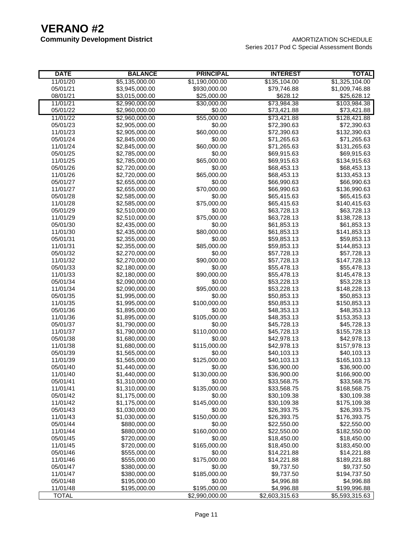**Community Development District** AMORTIZATION SCHEDULE Series 2017 Pod C Special Assessment Bonds

| <b>DATE</b>  | <b>BALANCE</b> | <b>PRINCIPAL</b> | <b>INTEREST</b> | <b>TOTAL</b>   |
|--------------|----------------|------------------|-----------------|----------------|
| 11/01/20     | \$5,135,000.00 | \$1,190,000.00   | \$135,104.00    | \$1,325,104.00 |
| 05/01/21     | \$3,945,000.00 | \$930,000.00     | \$79,746.88     | \$1,009,746.88 |
| 08/01/21     | \$3,015,000.00 | \$25,000.00      | \$628.12        | \$25,628.12    |
| 11/01/21     | \$2,990,000.00 | \$30,000.00      | \$73,984.38     | \$103,984.38   |
| 05/01/22     | \$2,960,000.00 | \$0.00           | \$73,421.88     | \$73,421.88    |
| 11/01/22     | \$2,960,000.00 | \$55,000.00      | \$73,421.88     | \$128,421.88   |
| 05/01/23     | \$2,905,000.00 | \$0.00           | \$72,390.63     | \$72,390.63    |
| 11/01/23     | \$2,905,000.00 | \$60,000.00      | \$72,390.63     | \$132,390.63   |
| 05/01/24     | \$2,845,000.00 | \$0.00           | \$71,265.63     | \$71,265.63    |
| 11/01/24     | \$2,845,000.00 | \$60,000.00      | \$71,265.63     | \$131,265.63   |
| 05/01/25     | \$2,785,000.00 | \$0.00           | \$69,915.63     | \$69,915.63    |
| 11/01/25     | \$2,785,000.00 | \$65,000.00      | \$69,915.63     | \$134,915.63   |
| 05/01/26     | \$2,720,000.00 | \$0.00           | \$68,453.13     | \$68,453.13    |
| 11/01/26     | \$2,720,000.00 | \$65,000.00      | \$68,453.13     | \$133,453.13   |
| 05/01/27     | \$2,655,000.00 | \$0.00           | \$66,990.63     | \$66,990.63    |
| 11/01/27     | \$2,655,000.00 | \$70,000.00      | \$66,990.63     | \$136,990.63   |
| 05/01/28     | \$2,585,000.00 | \$0.00           | \$65,415.63     | \$65,415.63    |
| 11/01/28     | \$2,585,000.00 | \$75,000.00      | \$65,415.63     | \$140,415.63   |
| 05/01/29     | \$2,510,000.00 | \$0.00           | \$63,728.13     | \$63,728.13    |
| 11/01/29     | \$2,510,000.00 | \$75,000.00      | \$63,728.13     | \$138,728.13   |
| 05/01/30     | \$2,435,000.00 | \$0.00           | \$61,853.13     | \$61,853.13    |
| 11/01/30     | \$2,435,000.00 | \$80,000.00      | \$61,853.13     | \$141,853.13   |
| 05/01/31     | \$2,355,000.00 | \$0.00           | \$59,853.13     | \$59,853.13    |
| 11/01/31     | \$2,355,000.00 | \$85,000.00      | \$59,853.13     | \$144,853.13   |
| 05/01/32     | \$2,270,000.00 | \$0.00           | \$57,728.13     | \$57,728.13    |
| 11/01/32     | \$2,270,000.00 | \$90,000.00      | \$57,728.13     | \$147,728.13   |
| 05/01/33     | \$2,180,000.00 | \$0.00           | \$55,478.13     | \$55,478.13    |
| 11/01/33     | \$2,180,000.00 | \$90,000.00      | \$55,478.13     | \$145,478.13   |
| 05/01/34     | \$2,090,000.00 | \$0.00           | \$53,228.13     | \$53,228.13    |
| 11/01/34     | \$2,090,000.00 | \$95,000.00      | \$53,228.13     | \$148,228.13   |
| 05/01/35     | \$1,995,000.00 | \$0.00           | \$50,853.13     | \$50,853.13    |
| 11/01/35     | \$1,995,000.00 | \$100,000.00     | \$50,853.13     | \$150,853.13   |
| 05/01/36     | \$1,895,000.00 | \$0.00           | \$48,353.13     | \$48,353.13    |
| 11/01/36     | \$1,895,000.00 | \$105,000.00     | \$48,353.13     | \$153,353.13   |
| 05/01/37     | \$1,790,000.00 | \$0.00           | \$45,728.13     | \$45,728.13    |
| 11/01/37     | \$1,790,000.00 | \$110,000.00     | \$45,728.13     | \$155,728.13   |
| 05/01/38     | \$1,680,000.00 | \$0.00           | \$42,978.13     | \$42,978.13    |
| 11/01/38     | \$1,680,000.00 | \$115,000.00     | \$42,978.13     | \$157,978.13   |
| 05/01/39     | \$1,565,000.00 | \$0.00           | \$40,103.13     | \$40,103.13    |
| 11/01/39     | \$1,565,000.00 | \$125,000.00     | \$40,103.13     | \$165,103.13   |
| 05/01/40     | \$1,440,000.00 | \$0.00           | \$36,900.00     | \$36,900.00    |
| 11/01/40     | \$1,440,000.00 | \$130,000.00     | \$36,900.00     | \$166,900.00   |
| 05/01/41     | \$1,310,000.00 | \$0.00           | \$33,568.75     | \$33,568.75    |
| 11/01/41     | \$1,310,000.00 | \$135,000.00     | \$33,568.75     | \$168,568.75   |
| 05/01/42     | \$1,175,000.00 | \$0.00           | \$30,109.38     | \$30,109.38    |
| 11/01/42     | \$1,175,000.00 | \$145,000.00     | \$30,109.38     | \$175,109.38   |
| 05/01/43     | \$1,030,000.00 | \$0.00           | \$26,393.75     | \$26,393.75    |
| 11/01/43     | \$1,030,000.00 | \$150,000.00     | \$26,393.75     | \$176,393.75   |
| 05/01/44     | \$880,000.00   | \$0.00           | \$22,550.00     | \$22,550.00    |
| 11/01/44     | \$880,000.00   | \$160,000.00     | \$22,550.00     | \$182,550.00   |
| 05/01/45     | \$720,000.00   | \$0.00           | \$18,450.00     | \$18,450.00    |
| 11/01/45     | \$720,000.00   | \$165,000.00     | \$18,450.00     | \$183,450.00   |
| 05/01/46     | \$555,000.00   | \$0.00           | \$14,221.88     | \$14,221.88    |
| 11/01/46     | \$555,000.00   | \$175,000.00     | \$14,221.88     | \$189,221.88   |
| 05/01/47     | \$380,000.00   | \$0.00           | \$9,737.50      | \$9,737.50     |
| 11/01/47     | \$380,000.00   | \$185,000.00     | \$9,737.50      | \$194,737.50   |
| 05/01/48     | \$195,000.00   | \$0.00           | \$4,996.88      | \$4,996.88     |
| 11/01/48     | \$195,000.00   | \$195,000.00     | \$4,996.88      | \$199,996.88   |
| <b>TOTAL</b> |                | \$2,990,000.00   | \$2,603,315.63  | \$5,593,315.63 |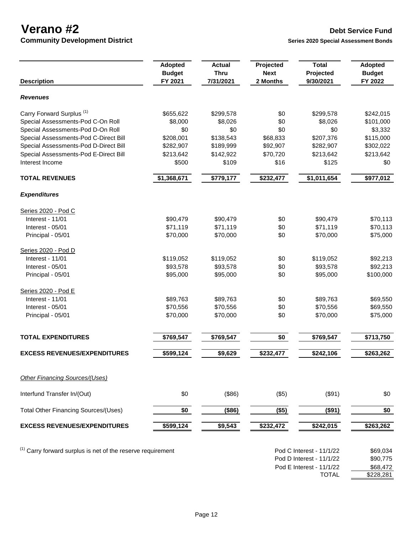**Community Development District Series 2020** Special Assessment Bonds

|                                                                        | <b>Adopted</b><br><b>Budget</b> | <b>Actual</b><br><b>Thru</b> | Projected<br><b>Next</b> | <b>Total</b><br>Projected | <b>Adopted</b><br><b>Budget</b> |
|------------------------------------------------------------------------|---------------------------------|------------------------------|--------------------------|---------------------------|---------------------------------|
| <b>Description</b>                                                     | FY 2021                         | 7/31/2021                    | 2 Months                 | 9/30/2021                 | FY 2022                         |
| <b>Revenues</b>                                                        |                                 |                              |                          |                           |                                 |
| Carry Forward Surplus <sup>(1)</sup>                                   | \$655,622                       | \$299,578                    | \$0                      | \$299,578                 | \$242,015                       |
| Special Assessments-Pod C-On Roll                                      | \$8,000                         | \$8,026                      | \$0                      | \$8,026                   | \$101,000                       |
| Special Assessments-Pod D-On Roll                                      | \$0                             | \$0                          | \$0                      | \$0                       | \$3,332                         |
| Special Assessments-Pod C-Direct Bill                                  | \$208,001                       | \$138,543                    | \$68,833                 | \$207,376                 | \$115,000                       |
| Special Assessments-Pod D-Direct Bill                                  | \$282,907                       | \$189,999                    | \$92,907                 | \$282,907                 | \$302,022                       |
| Special Assessments-Pod E-Direct Bill                                  | \$213,642                       | \$142,922                    | \$70,720                 | \$213,642                 | \$213,642                       |
| Interest Income                                                        | \$500                           | \$109                        | \$16                     | \$125                     | \$0                             |
| <b>TOTAL REVENUES</b>                                                  | \$1,368,671                     | \$779,177                    | \$232,477                | \$1,011,654               | \$977,012                       |
| <b>Expenditures</b>                                                    |                                 |                              |                          |                           |                                 |
| Series 2020 - Pod C                                                    |                                 |                              |                          |                           |                                 |
| Interest - 11/01                                                       | \$90,479                        | \$90,479                     | \$0                      | \$90,479                  | \$70,113                        |
| Interest - 05/01                                                       | \$71,119                        | \$71,119                     | \$0                      | \$71,119                  | \$70,113                        |
| Principal - 05/01                                                      | \$70,000                        | \$70,000                     | \$0                      | \$70,000                  | \$75,000                        |
| Series 2020 - Pod D                                                    |                                 |                              |                          |                           |                                 |
| Interest - 11/01                                                       | \$119,052                       | \$119,052                    | \$0                      | \$119,052                 | \$92,213                        |
| Interest - 05/01                                                       | \$93,578                        | \$93,578                     | \$0                      | \$93,578                  | \$92,213                        |
| Principal - 05/01                                                      | \$95,000                        | \$95,000                     | \$0                      | \$95,000                  | \$100,000                       |
| Series 2020 - Pod E                                                    |                                 |                              |                          |                           |                                 |
| Interest - 11/01                                                       | \$89,763                        | \$89,763                     | \$0                      | \$89,763                  | \$69,550                        |
| Interest - 05/01                                                       | \$70,556                        | \$70,556                     | \$0                      | \$70,556                  | \$69,550                        |
| Principal - 05/01                                                      | \$70,000                        | \$70,000                     | \$0                      | \$70,000                  | \$75,000                        |
| <b>TOTAL EXPENDITURES</b>                                              | \$769,547                       | \$769,547                    | \$0                      | \$769,547                 | \$713,750                       |
| <b>EXCESS REVENUES/EXPENDITURES</b>                                    | \$599,124                       | \$9,629                      | \$232,477                | \$242,106                 | \$263,262                       |
|                                                                        |                                 |                              |                          |                           |                                 |
| <b>Other Financing Sources/(Uses)</b>                                  |                                 |                              |                          |                           |                                 |
| Interfund Transfer In/(Out)                                            | \$0                             | (\$86)                       | (\$5)                    | (\$91)                    | \$0                             |
| <b>Total Other Financing Sources/(Uses)</b>                            | \$0                             | (\$86)                       | (\$5)                    | (\$91)                    | \$0                             |
| <b>EXCESS REVENUES/EXPENDITURES</b>                                    | \$599,124                       | \$9,543                      | \$232,472                | \$242,015                 | \$263,262                       |
|                                                                        |                                 |                              |                          |                           |                                 |
| <sup>(1)</sup> Carry forward surplus is net of the reserve requirement |                                 |                              |                          | Pod C Interest - 11/1/22  | \$69,034                        |
|                                                                        |                                 |                              |                          | Pod D Interest - 11/1/22  | \$90,775                        |
|                                                                        |                                 |                              |                          |                           |                                 |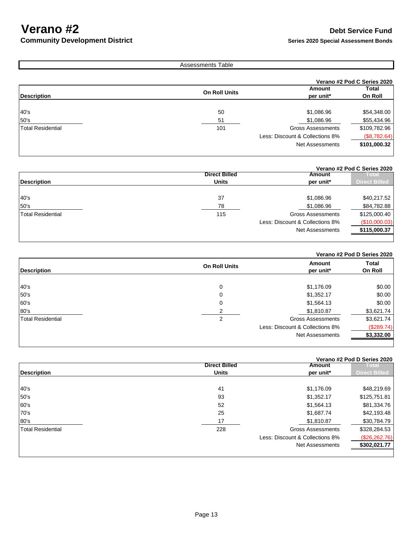### **Community Development District Series 2020** Special Assessment Bonds

|                          | <b>Assessments Table</b> |                                 |                             |
|--------------------------|--------------------------|---------------------------------|-----------------------------|
|                          |                          |                                 | Verano #2 Pod C Series 2020 |
| <b>Description</b>       | <b>On Roll Units</b>     | Amount<br>per unit*             | Total<br>On Roll            |
| 40's                     | 50                       | \$1,086.96                      | \$54,348.00                 |
| 50's                     | 51                       | \$1,086.96                      | \$55,434.96                 |
| <b>Total Residential</b> | 101                      | <b>Gross Assessments</b>        | \$109,782.96                |
|                          |                          | Less: Discount & Collections 8% | (\$8,782.64)                |
|                          |                          | <b>Net Assessments</b>          | \$101,000.32                |
|                          |                          |                                 |                             |

|                    |                      |                                 | Verano #2 Pod C Series 2020   |
|--------------------|----------------------|---------------------------------|-------------------------------|
|                    | <b>Direct Billed</b> | Amount                          | $\overline{\phantom{a}}$ otal |
| <b>Description</b> | <b>Units</b>         | per unit*                       | <b>Direct Billed</b>          |
|                    |                      |                                 |                               |
| 40's               | 37                   | \$1,086.96                      | \$40,217.52                   |
| 50's               | 78                   | \$1,086.96                      | \$84,782.88                   |
| Total Residential  | 115                  | <b>Gross Assessments</b>        | \$125,000.40                  |
|                    |                      | Less: Discount & Collections 8% | (\$10,000.03)                 |
|                    |                      | Net Assessments                 | \$115,000.37                  |
|                    |                      |                                 |                               |

### **Verano #2 Pod D Series 2020**

| <b>Description</b>       | <b>On Roll Units</b> | Amount<br>per unit*             | <b>Total</b><br>On Roll |
|--------------------------|----------------------|---------------------------------|-------------------------|
|                          |                      |                                 |                         |
| 40's                     | 0                    | \$1,176.09                      | \$0.00                  |
| 50's                     | 0                    | \$1,352.17                      | \$0.00                  |
| 60's                     | 0                    | \$1,564.13                      | \$0.00                  |
| 80's                     |                      | \$1,810.87                      | \$3,621.74              |
| <b>Total Residential</b> | 2                    | <b>Gross Assessments</b>        | \$3,621.74              |
|                          |                      | Less: Discount & Collections 8% | (\$289.74)              |
|                          |                      | <b>Net Assessments</b>          | \$3,332.00              |
|                          |                      |                                 |                         |

#### **Verano #2 Pod D Series 2020**

|                          | <b>Direct Billed</b> | <b>Amount</b>                   | <b>Total</b>         |
|--------------------------|----------------------|---------------------------------|----------------------|
| <b>Description</b>       | <b>Units</b>         | per unit*                       | <b>Direct Billed</b> |
|                          |                      |                                 |                      |
| 40's                     | 41                   | \$1,176.09                      | \$48,219.69          |
| 50's                     | 93                   | \$1,352.17                      | \$125,751.81         |
| 60's                     | 52                   | \$1,564.13                      | \$81,334.76          |
| 70's                     | 25                   | \$1,687.74                      | \$42,193.48          |
| 80's                     | 17                   | \$1,810.87                      | \$30,784.79          |
| <b>Total Residential</b> | 228                  | <b>Gross Assessments</b>        | \$328,284.53         |
|                          |                      | Less: Discount & Collections 8% | (\$26, 262.76)       |
|                          |                      | Net Assessments                 | \$302,021.77         |
|                          |                      |                                 |                      |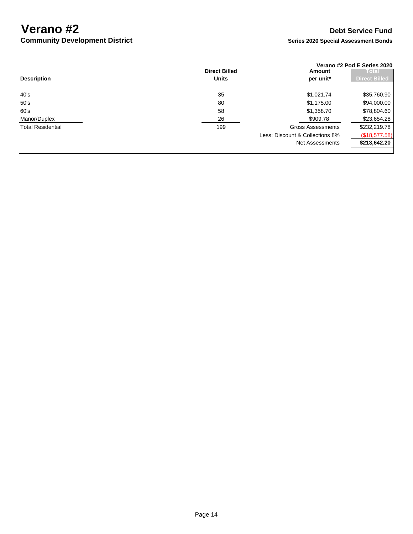### **Community Development District <b>Series 2020** Series 2020 Special Assessment Bonds

|                          |                      |                                 | Verano #2 Pod E Series 2020 |
|--------------------------|----------------------|---------------------------------|-----------------------------|
|                          | <b>Direct Billed</b> | Amount                          | ા ભારા                      |
| <b>Description</b>       | <b>Units</b>         | per unit*                       | Direct Billed               |
|                          |                      |                                 |                             |
| 40's                     | 35                   | \$1,021.74                      | \$35,760.90                 |
| 50's                     | 80                   | \$1,175.00                      | \$94,000.00                 |
| 60's                     | 58                   | \$1,358.70                      | \$78,804.60                 |
| Manor/Duplex             | 26                   | \$909.78                        | \$23,654.28                 |
| <b>Total Residential</b> | 199                  | <b>Gross Assessments</b>        | \$232,219.78                |
|                          |                      | Less: Discount & Collections 8% | (\$18,577.58)               |
|                          |                      | Net Assessments                 | \$213,642.20                |
|                          |                      |                                 |                             |

### Page 14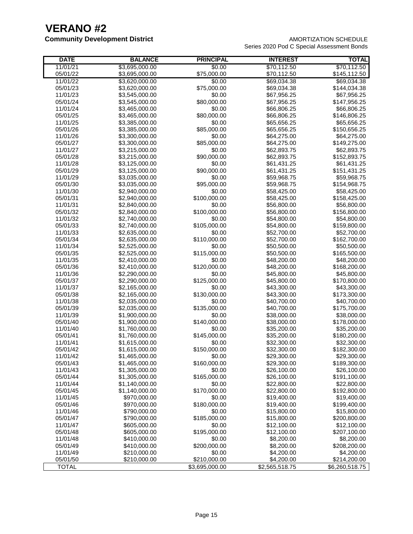### **Community Development District Community Development District AMORTIZATION SCHEDULE** Series 2020 Pod C Special Assessment Bonds

| <b>DATE</b>          | <b>BALANCE</b> | <b>PRINCIPAL</b>       | <b>INTEREST</b> | <b>TOTAL</b>                |
|----------------------|----------------|------------------------|-----------------|-----------------------------|
| 11/01/21             | \$3,695,000.00 | \$0.00                 | \$70,112.50     | \$70,112.50                 |
| 05/01/22             | \$3,695,000.00 | \$75,000.00            | \$70,112.50     | \$145,112.50                |
| 11/01/22             | \$3,620,000.00 | \$0.00                 | \$69,034.38     | \$69,034.38                 |
| 05/01/23             | \$3,620,000.00 | \$75,000.00            | \$69,034.38     | \$144,034.38                |
| 11/01/23             | \$3,545,000.00 | \$0.00                 | \$67,956.25     | \$67,956.25                 |
| 05/01/24             | \$3,545,000.00 | \$80,000.00            | \$67,956.25     | \$147,956.25                |
| 11/01/24             | \$3,465,000.00 | \$0.00                 | \$66,806.25     | \$66,806.25                 |
| 05/01/25             | \$3,465,000.00 | \$80,000.00            | \$66,806.25     | \$146,806.25                |
| 11/01/25             | \$3,385,000.00 | \$0.00                 | \$65,656.25     | \$65,656.25                 |
| 05/01/26             | \$3,385,000.00 | \$85,000.00            | \$65,656.25     | \$150,656.25                |
| 11/01/26             | \$3,300,000.00 | \$0.00                 | \$64,275.00     | \$64,275.00                 |
| 05/01/27             | \$3,300,000.00 | \$85,000.00            | \$64,275.00     | \$149,275.00                |
| 11/01/27             | \$3,215,000.00 | \$0.00                 | \$62,893.75     | \$62,893.75                 |
| 05/01/28             | \$3,215,000.00 | \$90,000.00            | \$62,893.75     | \$152,893.75                |
| 11/01/28             | \$3,125,000.00 | \$0.00                 | \$61,431.25     | \$61,431.25                 |
| 05/01/29             | \$3,125,000.00 | \$90,000.00            | \$61,431.25     | \$151,431.25                |
| 11/01/29             | \$3,035,000.00 | \$0.00                 | \$59,968.75     | \$59,968.75                 |
| 05/01/30             | \$3,035,000.00 | \$95,000.00            | \$59,968.75     | \$154,968.75                |
| 11/01/30             | \$2,940,000.00 | \$0.00                 | \$58,425.00     | \$58,425.00                 |
| 05/01/31             | \$2,940,000.00 | \$100,000.00           | \$58,425.00     | \$158,425.00                |
| 11/01/31             | \$2,840,000.00 | \$0.00                 | \$56,800.00     | \$56,800.00                 |
| 05/01/32             | \$2,840,000.00 | \$100,000.00           | \$56,800.00     | \$156,800.00                |
| 11/01/32             | \$2,740,000.00 | \$0.00                 | \$54,800.00     | \$54,800.00                 |
| 05/01/33             | \$2,740,000.00 | \$105,000.00           | \$54,800.00     | \$159,800.00                |
| 11/01/33             | \$2,635,000.00 | \$0.00                 | \$52,700.00     | \$52,700.00                 |
| 05/01/34             | \$2,635,000.00 | \$110,000.00           | \$52,700.00     | \$162,700.00                |
| 11/01/34             | \$2,525,000.00 | \$0.00                 | \$50,500.00     | \$50,500.00                 |
| 05/01/35             | \$2,525,000.00 | \$115,000.00           | \$50,500.00     | \$165,500.00                |
| 11/01/35             | \$2,410,000.00 | \$0.00                 | \$48,200.00     | \$48,200.00                 |
| 05/01/36             | \$2,410,000.00 | \$120,000.00           | \$48,200.00     | \$168,200.00                |
| 11/01/36             | \$2,290,000.00 | \$0.00                 | \$45,800.00     | \$45,800.00                 |
| 05/01/37             | \$2,290,000.00 | \$125,000.00           | \$45,800.00     | \$170,800.00                |
| 11/01/37             | \$2,165,000.00 | \$0.00                 | \$43,300.00     | \$43,300.00                 |
| 05/01/38             | \$2,165,000.00 | \$130,000.00           | \$43,300.00     | \$173,300.00                |
| 11/01/38             | \$2,035,000.00 | \$0.00                 | \$40,700.00     | \$40,700.00                 |
| 05/01/39             | \$2,035,000.00 | \$135,000.00           | \$40,700.00     | \$175,700.00                |
| 11/01/39             | \$1,900,000.00 | \$0.00                 | \$38,000.00     | \$38,000.00                 |
| 05/01/40             | \$1,900,000.00 | \$140,000.00           | \$38,000.00     | \$178,000.00                |
| 11/01/40             | \$1,760,000.00 | \$0.00                 | \$35,200.00     | \$35,200.00                 |
| 05/01/41             | \$1,760,000.00 | \$145,000.00           | \$35,200.00     | \$180,200.00                |
| 11/01/41             | \$1,615,000.00 | \$0.00                 | \$32,300.00     | \$32,300.00                 |
| 05/01/42             | \$1,615,000.00 | \$150,000.00           | \$32,300.00     | \$182,300.00                |
| 11/01/42             | \$1,465,000.00 | \$0.00                 | \$29,300.00     | \$29,300.00                 |
| 05/01/43             | \$1,465,000.00 | \$160,000.00           | \$29,300.00     | \$189,300.00                |
| 11/01/43             | \$1,305,000.00 | \$0.00                 | \$26,100.00     | \$26,100.00                 |
| 05/01/44             | \$1,305,000.00 | \$165,000.00           | \$26,100.00     | \$191,100.00                |
| 11/01/44             | \$1,140,000.00 | \$0.00                 | \$22,800.00     | \$22,800.00                 |
| 05/01/45             | \$1,140,000.00 | \$170,000.00           | \$22,800.00     | \$192,800.00                |
| 11/01/45             | \$970,000.00   | \$0.00                 | \$19,400.00     | \$19,400.00                 |
| 05/01/46<br>11/01/46 | \$970,000.00   | \$180,000.00<br>\$0.00 | \$19,400.00     | \$199,400.00<br>\$15,800.00 |
|                      | \$790,000.00   |                        | \$15,800.00     |                             |
| 05/01/47             | \$790,000.00   | \$185,000.00           | \$15,800.00     | \$200,800.00                |
| 11/01/47             | \$605,000.00   | \$0.00                 | \$12,100.00     | \$12,100.00                 |
| 05/01/48             | \$605,000.00   | \$195,000.00           | \$12,100.00     | \$207,100.00                |
| 11/01/48             | \$410,000.00   | \$0.00                 | \$8,200.00      | \$8,200.00                  |
| 05/01/49             | \$410,000.00   | \$200,000.00           | \$8,200.00      | \$208,200.00                |
| 11/01/49             | \$210,000.00   | \$0.00                 | \$4,200.00      | \$4,200.00                  |
| 05/01/50             | \$210,000.00   | \$210,000.00           | \$4,200.00      | \$214,200.00                |
| <b>TOTAL</b>         |                | \$3,695,000.00         | \$2,565,518.75  | \$6,260,518.75              |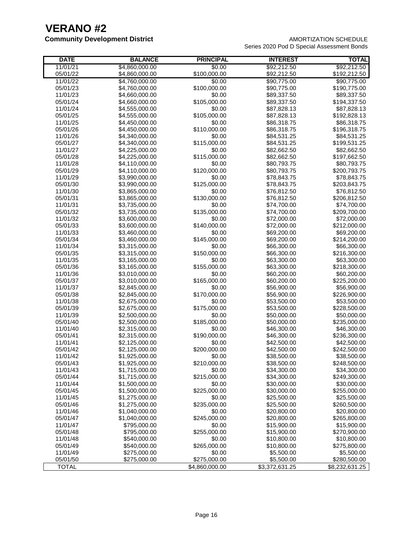#### **Community Development District AMORTIZATION SCHEDULE** Series 2020 Pod D Special Assessment Bonds

| Series 2020 Pod D Special Assessment Bonds |  |  |
|--------------------------------------------|--|--|
|                                            |  |  |

| <b>DATE</b>  | <b>BALANCE</b> | <b>PRINCIPAL</b> | <b>INTEREST</b> | <b>TOTAL</b>   |
|--------------|----------------|------------------|-----------------|----------------|
| 11/01/21     | \$4,860,000.00 | \$0.00           | \$92,212.50     | \$92,212.50    |
| 05/01/22     | \$4,860,000.00 | \$100,000.00     | \$92,212.50     | \$192,212.50   |
| 11/01/22     | \$4,760,000.00 | \$0.00           | \$90,775.00     | \$90,775.00    |
| 05/01/23     | \$4,760,000.00 | \$100,000.00     | \$90,775.00     | \$190,775.00   |
| 11/01/23     | \$4,660,000.00 | \$0.00           | \$89,337.50     | \$89,337.50    |
| 05/01/24     | \$4,660,000.00 | \$105,000.00     | \$89,337.50     | \$194,337.50   |
| 11/01/24     | \$4,555,000.00 | \$0.00           | \$87,828.13     | \$87,828.13    |
| 05/01/25     | \$4,555,000.00 | \$105,000.00     | \$87,828.13     | \$192,828.13   |
| 11/01/25     | \$4,450,000.00 | \$0.00           | \$86,318.75     | \$86,318.75    |
| 05/01/26     | \$4,450,000.00 | \$110,000.00     | \$86,318.75     | \$196,318.75   |
| 11/01/26     | \$4,340,000.00 | \$0.00           | \$84,531.25     | \$84,531.25    |
| 05/01/27     | \$4,340,000.00 | \$115,000.00     | \$84,531.25     | \$199,531.25   |
| 11/01/27     | \$4,225,000.00 | \$0.00           | \$82,662.50     | \$82,662.50    |
| 05/01/28     | \$4,225,000.00 | \$115,000.00     | \$82,662.50     | \$197,662.50   |
| 11/01/28     | \$4,110,000.00 | \$0.00           | \$80,793.75     | \$80,793.75    |
| 05/01/29     | \$4,110,000.00 | \$120,000.00     | \$80,793.75     | \$200,793.75   |
| 11/01/29     | \$3,990,000.00 | \$0.00           | \$78,843.75     | \$78,843.75    |
| 05/01/30     | \$3,990,000.00 | \$125,000.00     | \$78,843.75     | \$203,843.75   |
| 11/01/30     | \$3,865,000.00 | \$0.00           | \$76,812.50     | \$76,812.50    |
| 05/01/31     | \$3,865,000.00 | \$130,000.00     | \$76,812.50     | \$206,812.50   |
| 11/01/31     | \$3,735,000.00 | \$0.00           | \$74,700.00     | \$74,700.00    |
| 05/01/32     | \$3,735,000.00 | \$135,000.00     | \$74,700.00     | \$209,700.00   |
| 11/01/32     | \$3,600,000.00 | \$0.00           | \$72,000.00     | \$72,000.00    |
| 05/01/33     | \$3,600,000.00 | \$140,000.00     | \$72,000.00     | \$212,000.00   |
| 11/01/33     | \$3,460,000.00 | \$0.00           | \$69,200.00     | \$69,200.00    |
| 05/01/34     | \$3,460,000.00 | \$145,000.00     | \$69,200.00     | \$214,200.00   |
| 11/01/34     | \$3,315,000.00 | \$0.00           | \$66,300.00     | \$66,300.00    |
| 05/01/35     | \$3,315,000.00 | \$150,000.00     | \$66,300.00     | \$216,300.00   |
| 11/01/35     | \$3,165,000.00 | \$0.00           | \$63,300.00     | \$63,300.00    |
| 05/01/36     | \$3,165,000.00 | \$155,000.00     | \$63,300.00     | \$218,300.00   |
| 11/01/36     | \$3,010,000.00 | \$0.00           | \$60,200.00     | \$60,200.00    |
| 05/01/37     | \$3,010,000.00 | \$165,000.00     | \$60,200.00     | \$225,200.00   |
| 11/01/37     | \$2,845,000.00 | \$0.00           | \$56,900.00     | \$56,900.00    |
| 05/01/38     | \$2,845,000.00 | \$170,000.00     | \$56,900.00     | \$226,900.00   |
| 11/01/38     | \$2,675,000.00 | \$0.00           | \$53,500.00     | \$53,500.00    |
| 05/01/39     | \$2,675,000.00 | \$175,000.00     | \$53,500.00     | \$228,500.00   |
| 11/01/39     | \$2,500,000.00 | \$0.00           | \$50,000.00     | \$50,000.00    |
| 05/01/40     | \$2,500,000.00 | \$185,000.00     | \$50,000.00     | \$235,000.00   |
| 11/01/40     | \$2,315,000.00 | \$0.00           | \$46,300.00     | \$46,300.00    |
| 05/01/41     | \$2,315,000.00 | \$190,000.00     | \$46,300.00     | \$236,300.00   |
| 11/01/41     | \$2,125,000.00 | \$0.00           | \$42,500.00     | \$42,500.00    |
| 05/01/42     | \$2,125,000.00 | \$200,000.00     | \$42,500.00     | \$242,500.00   |
| 11/01/42     | \$1,925,000.00 | \$0.00           | \$38,500.00     | \$38,500.00    |
| 05/01/43     | \$1,925,000.00 | \$210,000.00     | \$38,500.00     | \$248,500.00   |
| 11/01/43     | \$1,715,000.00 | \$0.00           | \$34,300.00     | \$34,300.00    |
| 05/01/44     | \$1,715,000.00 | \$215,000.00     | \$34,300.00     | \$249,300.00   |
| 11/01/44     | \$1,500,000.00 | \$0.00           | \$30,000.00     | \$30,000.00    |
| 05/01/45     | \$1,500,000.00 | \$225,000.00     | \$30,000.00     | \$255,000.00   |
| 11/01/45     | \$1,275,000.00 | \$0.00           | \$25,500.00     | \$25,500.00    |
| 05/01/46     | \$1,275,000.00 | \$235,000.00     | \$25,500.00     | \$260,500.00   |
| 11/01/46     | \$1,040,000.00 | \$0.00           | \$20,800.00     | \$20,800.00    |
| 05/01/47     | \$1,040,000.00 | \$245,000.00     | \$20,800.00     | \$265,800.00   |
| 11/01/47     | \$795,000.00   | \$0.00           | \$15,900.00     | \$15,900.00    |
| 05/01/48     | \$795,000.00   | \$255,000.00     | \$15,900.00     | \$270,900.00   |
| 11/01/48     | \$540,000.00   | \$0.00           | \$10,800.00     | \$10,800.00    |
| 05/01/49     | \$540,000.00   | \$265,000.00     | \$10,800.00     | \$275,800.00   |
| 11/01/49     | \$275,000.00   | \$0.00           | \$5,500.00      | \$5,500.00     |
| 05/01/50     | \$275,000.00   | \$275,000.00     | \$5,500.00      | \$280,500.00   |
| <b>TOTAL</b> |                | \$4,860,000.00   | \$3,372,631.25  | \$8,232,631.25 |